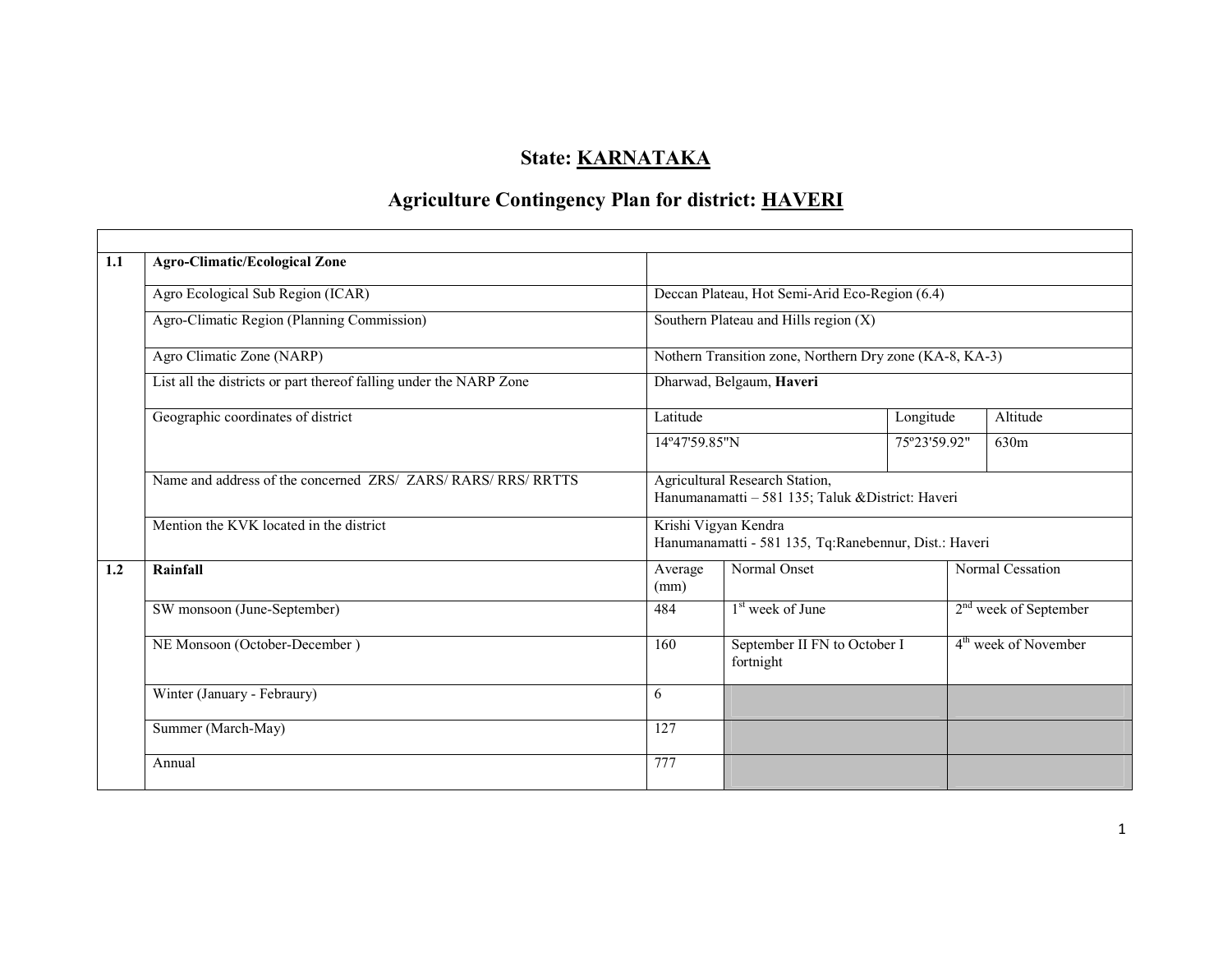# State: <u>KARNATAKA</u>

# Agriculture Contingency Plan for district: HAVERI

| 1.1 | <b>Agro-Climatic/Ecological Zone</b>                               |                                                                                     |                                           |              |                                  |  |  |  |
|-----|--------------------------------------------------------------------|-------------------------------------------------------------------------------------|-------------------------------------------|--------------|----------------------------------|--|--|--|
|     | Agro Ecological Sub Region (ICAR)                                  | Deccan Plateau, Hot Semi-Arid Eco-Region (6.4)                                      |                                           |              |                                  |  |  |  |
|     | Agro-Climatic Region (Planning Commission)                         | Southern Plateau and Hills region $(X)$                                             |                                           |              |                                  |  |  |  |
|     | Agro Climatic Zone (NARP)                                          | Nothern Transition zone, Northern Dry zone (KA-8, KA-3)                             |                                           |              |                                  |  |  |  |
|     | List all the districts or part thereof falling under the NARP Zone | Dharwad, Belgaum, Haveri                                                            |                                           |              |                                  |  |  |  |
|     | Geographic coordinates of district                                 | Latitude                                                                            |                                           | Longitude    | Altitude                         |  |  |  |
|     |                                                                    | 14°47'59.85"N                                                                       |                                           | 75°23'59.92" | 630m                             |  |  |  |
|     | Name and address of the concerned ZRS/ ZARS/ RARS/ RRS/ RRTTS      | Agricultural Research Station,<br>Hanumanamatti - 581 135; Taluk & District: Haveri |                                           |              |                                  |  |  |  |
|     | Mention the KVK located in the district                            | Krishi Vigyan Kendra<br>Hanumanamatti - 581 135, Tq:Ranebennur, Dist.: Haveri       |                                           |              |                                  |  |  |  |
| 1.2 | Rainfall                                                           | Average<br>(mm)                                                                     | Normal Onset                              |              | Normal Cessation                 |  |  |  |
|     | SW monsoon (June-September)                                        | 484                                                                                 | $1st$ week of June                        |              | $2nd$ week of September          |  |  |  |
|     | NE Monsoon (October-December)                                      | 160                                                                                 | September II FN to October I<br>fortnight |              | 4 <sup>th</sup> week of November |  |  |  |
|     | Winter (January - Febraury)                                        | 6                                                                                   |                                           |              |                                  |  |  |  |
|     | Summer (March-May)                                                 | 127                                                                                 |                                           |              |                                  |  |  |  |
|     | Annual                                                             | 777                                                                                 |                                           |              |                                  |  |  |  |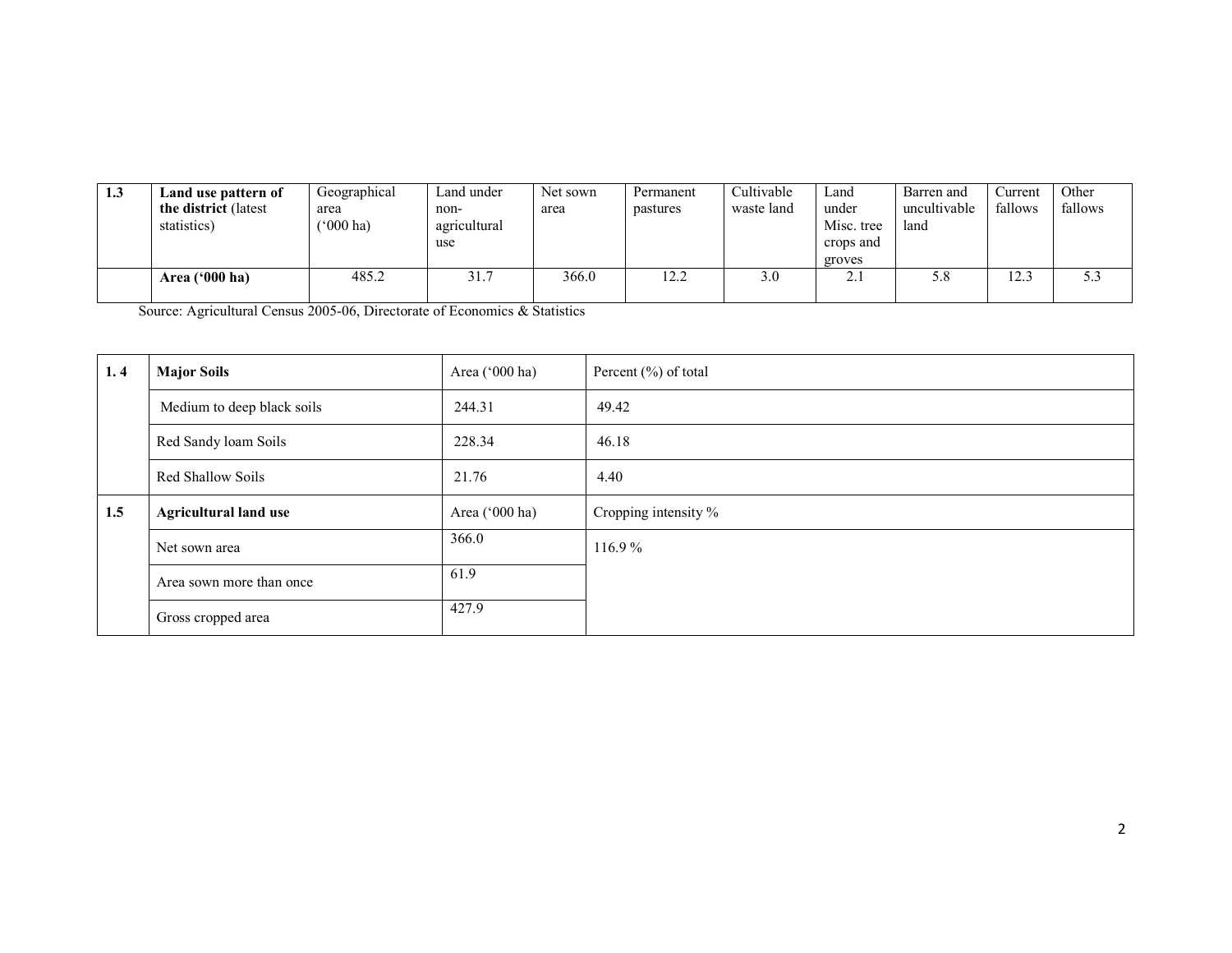| 1.3 | Land use pattern of   | Geographical             | Land under   | Net sown | Permanent | Cultivable | Land       | Barren and   | Current | Other   |
|-----|-----------------------|--------------------------|--------------|----------|-----------|------------|------------|--------------|---------|---------|
|     | the district (latest) | area                     | non-         | area     | pastures  | waste land | under      | uncultivable | fallows | fallows |
|     | statistics)           | $^{\prime\prime}000$ ha) | agricultural |          |           |            | Misc. tree | land         |         |         |
|     |                       |                          | use          |          |           |            | crops and  |              |         |         |
|     |                       |                          |              |          |           |            | groves     |              |         |         |
|     | Area $(900)$ ha)      | 485.2                    | 31.7         | 366.0    | 12.2      | 3.0        | 4.1        | 5.8          | 12.3    | .3 J    |
|     |                       |                          |              |          |           |            |            |              |         |         |

Source: Agricultural Census 2005-06, Directorate of Economics & Statistics

| 1.4 | <b>Major Soils</b>           | Area ('000 ha) | Percent $(\%)$ of total |
|-----|------------------------------|----------------|-------------------------|
|     | Medium to deep black soils   | 244.31         | 49.42                   |
|     | Red Sandy loam Soils         | 228.34         | 46.18                   |
|     | Red Shallow Soils            | 21.76          | 4.40                    |
| 1.5 | <b>Agricultural land use</b> | Area ('000 ha) | Cropping intensity %    |
|     | Net sown area                | 366.0          | 116.9%                  |
|     | Area sown more than once     | 61.9           |                         |
|     | Gross cropped area           | 427.9          |                         |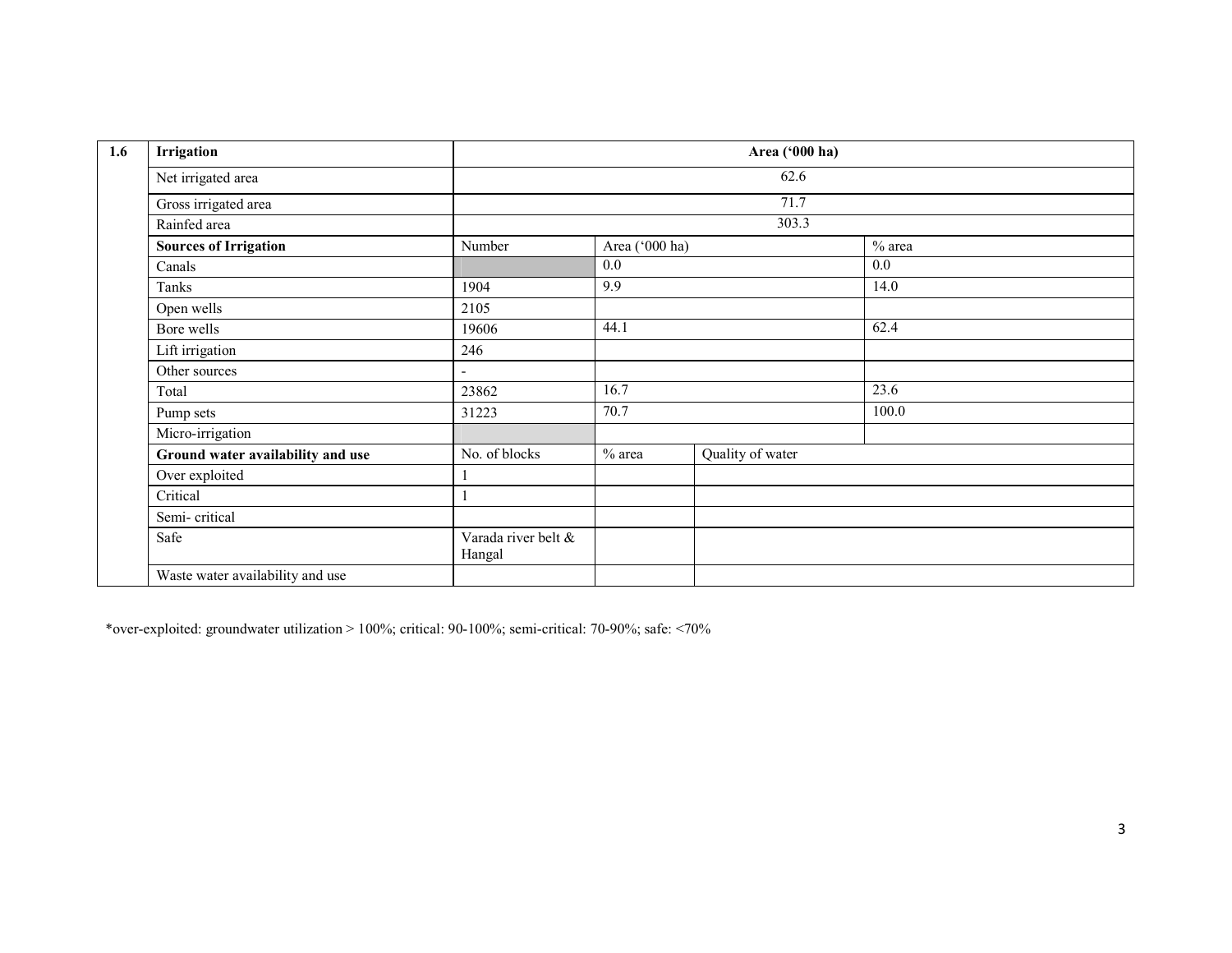| 1.6 | Irrigation                        |                               |                | Area ('000 ha)   |        |  |
|-----|-----------------------------------|-------------------------------|----------------|------------------|--------|--|
|     | Net irrigated area                |                               |                | 62.6             |        |  |
|     | Gross irrigated area              |                               |                |                  |        |  |
|     | Rainfed area                      |                               |                |                  |        |  |
|     | <b>Sources of Irrigation</b>      | Number                        | Area ('000 ha) |                  | % area |  |
|     | Canals                            |                               | 0.0            |                  | 0.0    |  |
|     | Tanks                             | 1904                          | 9.9            |                  | 14.0   |  |
|     | Open wells                        | 2105                          |                |                  |        |  |
|     | Bore wells                        | 19606                         | 44.1           |                  | 62.4   |  |
|     | Lift irrigation                   | 246                           |                |                  |        |  |
|     | Other sources                     | $\overline{\phantom{a}}$      |                |                  |        |  |
|     | Total                             | 23862                         | 16.7           |                  | 23.6   |  |
|     | Pump sets                         | 31223                         | 70.7           |                  | 100.0  |  |
|     | Micro-irrigation                  |                               |                |                  |        |  |
|     | Ground water availability and use | No. of blocks                 | % area         | Quality of water |        |  |
|     | Over exploited                    |                               |                |                  |        |  |
|     | Critical                          |                               |                |                  |        |  |
|     | Semi-critical                     |                               |                |                  |        |  |
|     | Safe                              | Varada river belt &<br>Hangal |                |                  |        |  |
|     | Waste water availability and use  |                               |                |                  |        |  |

\*over-exploited: groundwater utilization > 100%; critical: 90-100%; semi-critical: 70-90%; safe: <70%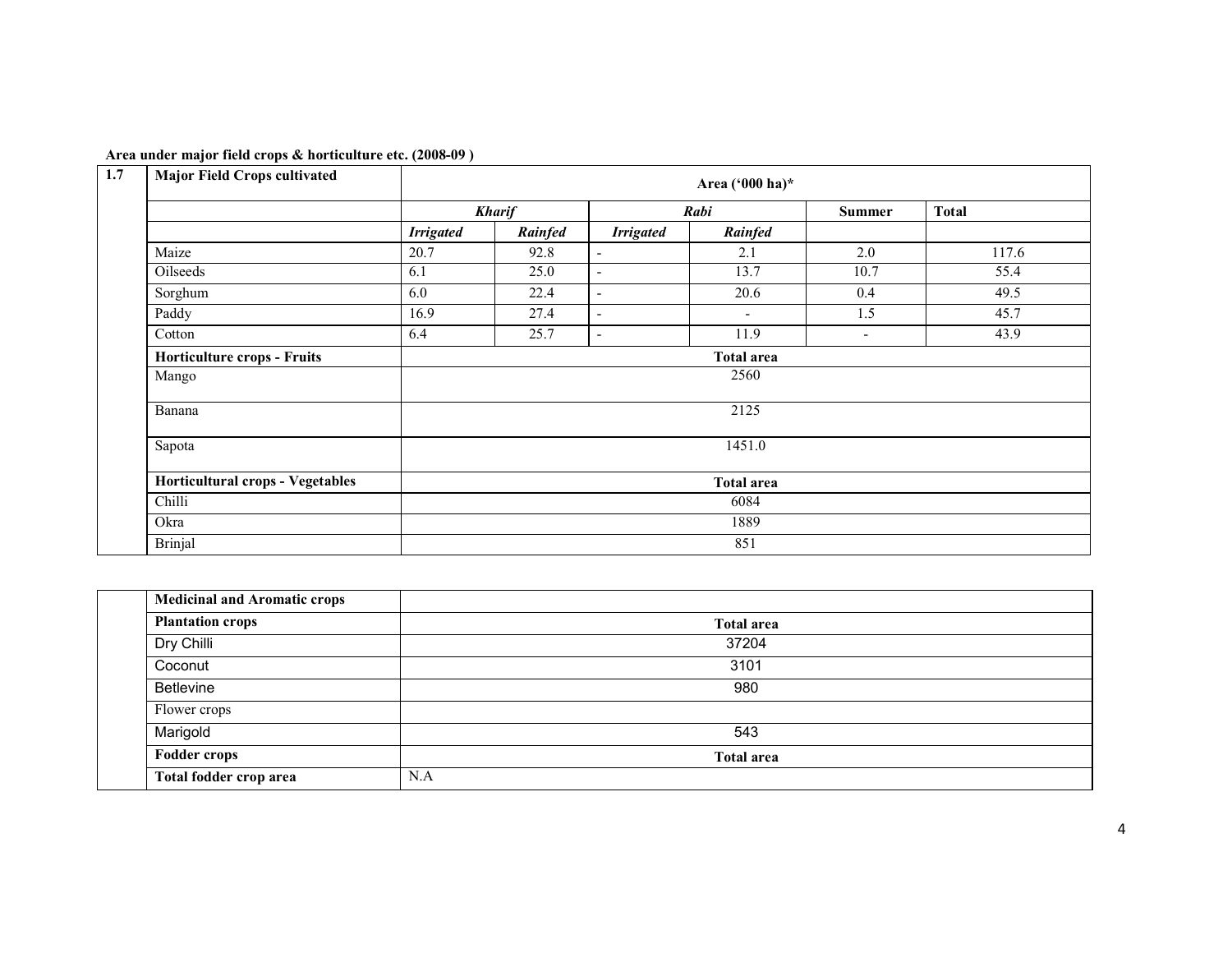| <b>Major Field Crops cultivated</b> |                   |                       |                          | Area ('000 ha)*          |                          |              |  |  |
|-------------------------------------|-------------------|-----------------------|--------------------------|--------------------------|--------------------------|--------------|--|--|
|                                     |                   | <b>Kharif</b><br>Rabi |                          |                          | <b>Summer</b>            | <b>Total</b> |  |  |
|                                     | <b>Irrigated</b>  | Rainfed               | <b>Irrigated</b>         | Rainfed                  |                          |              |  |  |
| Maize                               | 20.7              | 92.8                  | $\blacksquare$           | 2.1                      | 2.0                      | 117.6        |  |  |
| Oilseeds                            | 6.1               | 25.0                  | $\overline{\phantom{a}}$ | 13.7                     | 10.7                     | 55.4         |  |  |
| Sorghum                             | 6.0               | 22.4                  | $\blacksquare$           | 20.6                     | 0.4                      | 49.5         |  |  |
| Paddy                               | 16.9              | 27.4                  | $\overline{\phantom{a}}$ | $\overline{\phantom{a}}$ | 1.5                      | 45.7         |  |  |
| Cotton                              | 6.4               | 25.7                  | $\overline{\phantom{a}}$ | 11.9                     | $\overline{\phantom{a}}$ | 43.9         |  |  |
| Horticulture crops - Fruits         | <b>Total area</b> |                       |                          |                          |                          |              |  |  |
| Mango                               | 2560              |                       |                          |                          |                          |              |  |  |
| Banana                              | 2125              |                       |                          |                          |                          |              |  |  |
| Sapota                              | 1451.0            |                       |                          |                          |                          |              |  |  |
| Horticultural crops - Vegetables    | <b>Total area</b> |                       |                          |                          |                          |              |  |  |
| Chilli                              | 6084              |                       |                          |                          |                          |              |  |  |
| Okra                                | 1889              |                       |                          |                          |                          |              |  |  |
| Brinjal                             |                   |                       |                          | 851                      |                          |              |  |  |

#### Area under major field crops & horticulture etc. (2008-09 )

| <b>Medicinal and Aromatic crops</b> |                   |  |
|-------------------------------------|-------------------|--|
| <b>Plantation crops</b>             | <b>Total area</b> |  |
| Dry Chilli                          | 37204             |  |
| Coconut                             | 3101              |  |
| Betlevine                           | 980               |  |
| Flower crops                        |                   |  |
| Marigold                            | 543               |  |
| <b>Fodder crops</b>                 | <b>Total area</b> |  |
| Total fodder crop area              | N.A               |  |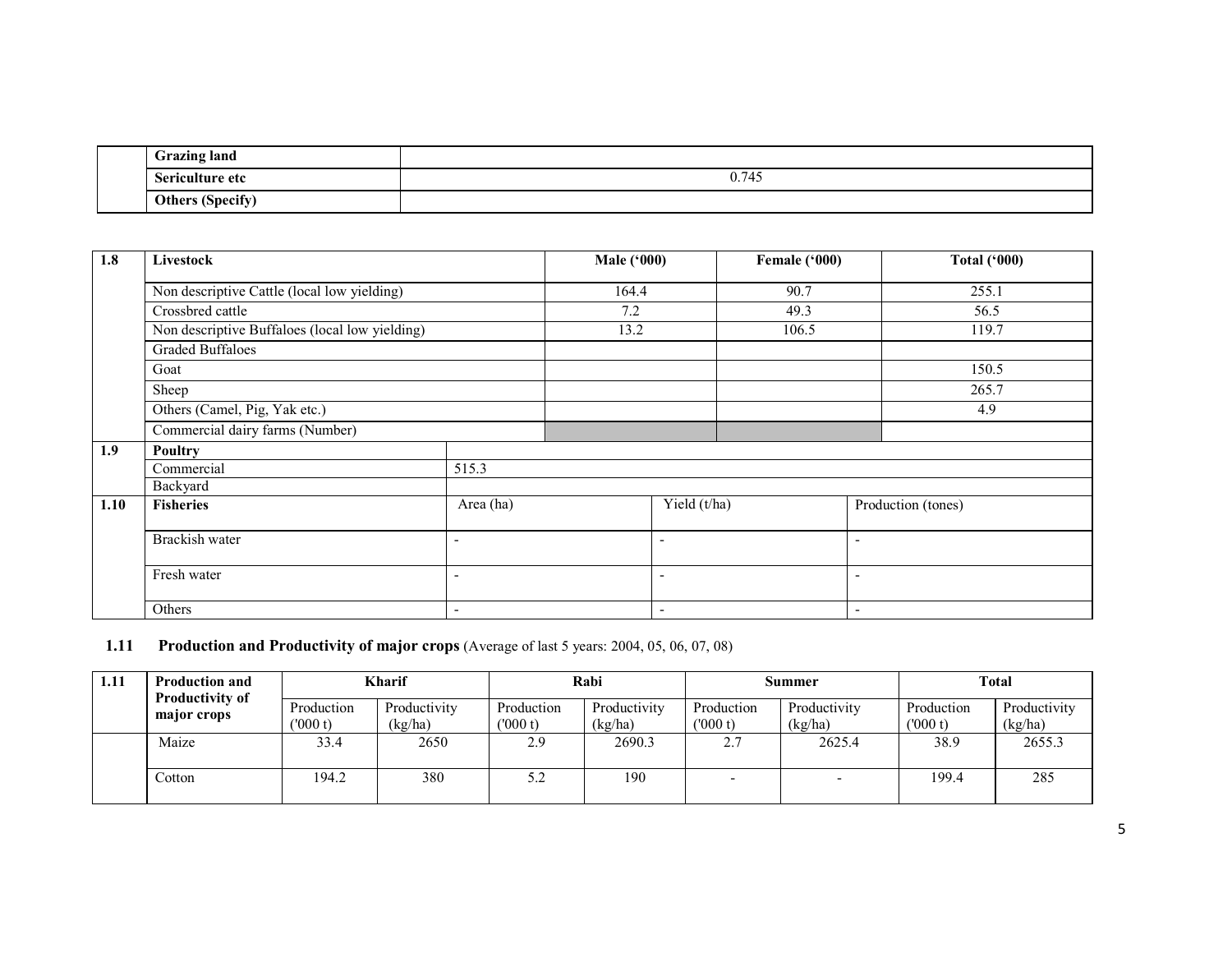|  | <b>Grazing land</b>     |       |
|--|-------------------------|-------|
|  | Sericulture etc         | 0.745 |
|  | <b>Others (Specify)</b> |       |

| 1.8  | Livestock                                      |                          | <b>Male ('000)</b>       |                          | Female ('000) |                          | <b>Total ('000)</b> |  |
|------|------------------------------------------------|--------------------------|--------------------------|--------------------------|---------------|--------------------------|---------------------|--|
|      | Non descriptive Cattle (local low yielding)    |                          | 164.4                    |                          | 90.7          |                          | 255.1               |  |
|      | Crossbred cattle                               |                          | 7.2                      |                          | 49.3          |                          | 56.5                |  |
|      | Non descriptive Buffaloes (local low yielding) |                          | 13.2                     |                          | 106.5         |                          | 119.7               |  |
|      | <b>Graded Buffaloes</b>                        |                          |                          |                          |               |                          |                     |  |
|      | Goat                                           |                          |                          |                          |               |                          | 150.5               |  |
|      | Sheep                                          |                          |                          |                          |               |                          | 265.7               |  |
|      | Others (Camel, Pig, Yak etc.)                  |                          |                          |                          |               |                          | 4.9                 |  |
|      | Commercial dairy farms (Number)                |                          |                          |                          |               |                          |                     |  |
| 1.9  | <b>Poultry</b>                                 |                          |                          |                          |               |                          |                     |  |
|      | Commercial                                     | 515.3                    |                          |                          |               |                          |                     |  |
|      | Backyard                                       |                          |                          |                          |               |                          |                     |  |
| 1.10 | <b>Fisheries</b>                               | Area (ha)                |                          | Yield (t/ha)             |               |                          | Production (tones)  |  |
|      | Brackish water                                 | ٠                        |                          | $\overline{\phantom{a}}$ |               | ٠                        |                     |  |
|      | Fresh water<br>$\overline{\phantom{0}}$        |                          | $\overline{\phantom{0}}$ |                          | ٠             |                          |                     |  |
|      | Others                                         | $\overline{\phantom{a}}$ |                          | $\overline{\phantom{a}}$ |               | $\overline{\phantom{a}}$ |                     |  |

#### **1.11 Production and Productivity of major crops** (Average of last 5 years: 2004, 05, 06, 07, 08)

| 1.11 | <b>Production and</b><br><b>Productivity of</b> | <b>Kharif</b>         |                         | Rabi                  |                         | Summer                |                         | Total                 |                         |
|------|-------------------------------------------------|-----------------------|-------------------------|-----------------------|-------------------------|-----------------------|-------------------------|-----------------------|-------------------------|
|      | major crops                                     | Production<br>(000 t) | Productivity<br>(kg/ha) | Production<br>(000 t) | Productivity<br>(kg/ha) | Production<br>(000 t) | Productivity<br>(kg/ha) | Production<br>(000 t) | Productivity<br>(kg/ha) |
|      | Maize                                           | 33.4                  | 2650                    | 2.9                   | 2690.3                  | 2.7                   | 2625.4                  | 38.9                  | 2655.3                  |
|      | Cotton                                          | 194.2                 | 380                     | ے.د                   | 190                     |                       |                         | 199.4                 | 285                     |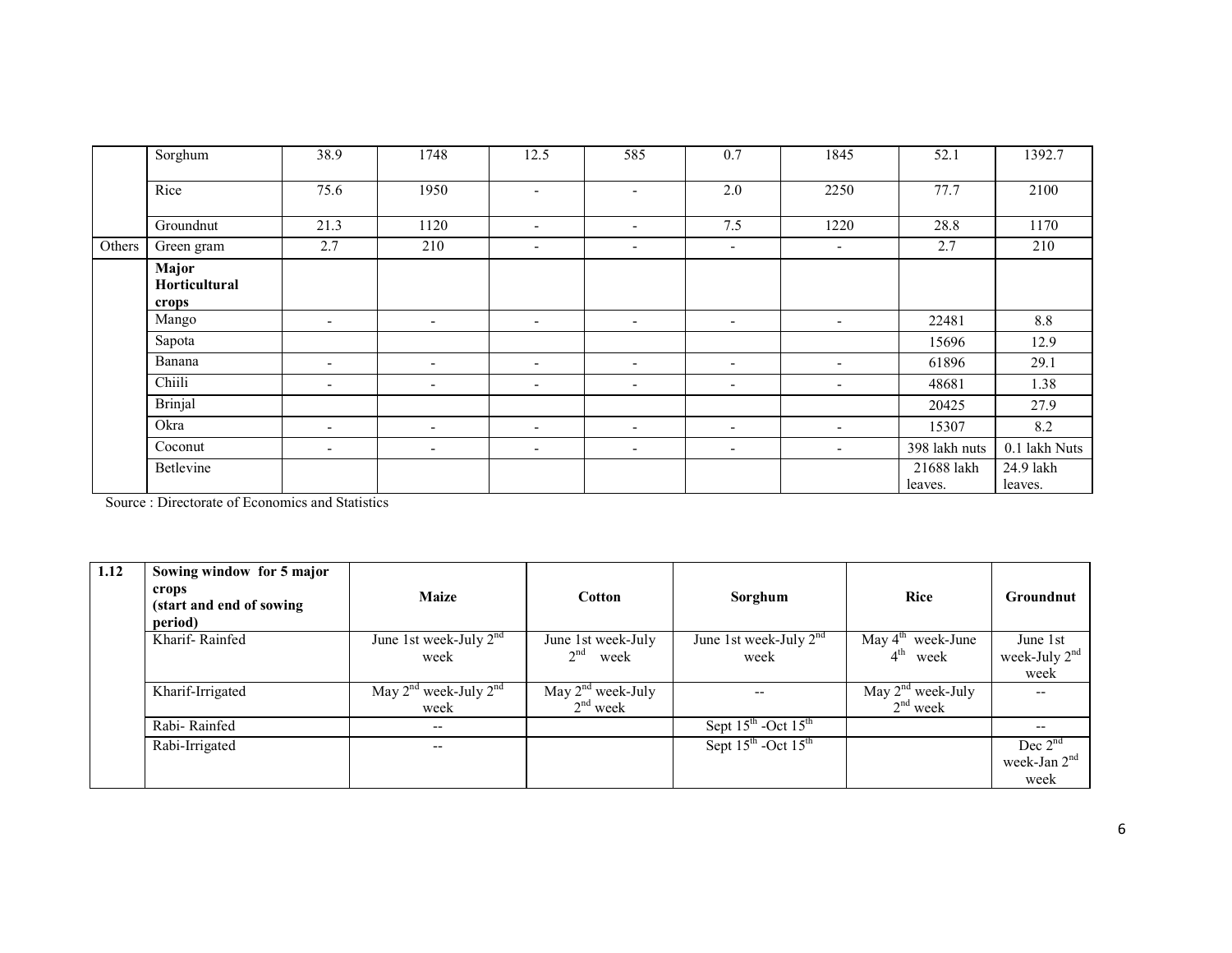|        | Sorghum                         | 38.9                     | 1748                     | 12.5                         | 585                      | 0.7                      | 1845                     | 52.1                  | 1392.7               |
|--------|---------------------------------|--------------------------|--------------------------|------------------------------|--------------------------|--------------------------|--------------------------|-----------------------|----------------------|
|        | Rice                            | 75.6                     | 1950                     | $\overline{\phantom{0}}$     | $\blacksquare$           | 2.0                      | 2250                     | 77.7                  | 2100                 |
|        | Groundnut                       | 21.3                     | 1120                     | $\blacksquare$               | $\overline{\phantom{a}}$ | 7.5                      | 1220                     | 28.8                  | 1170                 |
| Others | Green gram                      | 2.7                      | 210                      | $\qquad \qquad \blacksquare$ | $\overline{\phantom{a}}$ | $\sim$                   | $\blacksquare$           | 2.7                   | 210                  |
|        | Major<br>Horticultural<br>crops |                          |                          |                              |                          |                          |                          |                       |                      |
|        | Mango                           | $\overline{\phantom{a}}$ | $\overline{\phantom{a}}$ | $\blacksquare$               | $\overline{\phantom{a}}$ | $\overline{\phantom{a}}$ | $\sim$                   | 22481                 | $8.8\,$              |
|        | Sapota                          |                          |                          |                              |                          |                          |                          | 15696                 | 12.9                 |
|        | Banana                          | $\sim$                   | ۰                        | $\overline{\phantom{a}}$     | $\overline{\phantom{a}}$ | $\overline{\phantom{a}}$ | $\overline{\phantom{a}}$ | 61896                 | 29.1                 |
|        | Chiili                          | $\sim$                   | $\overline{\phantom{a}}$ | $\overline{\phantom{a}}$     | $\overline{\phantom{a}}$ | $\overline{\phantom{a}}$ | $\sim$                   | 48681                 | 1.38                 |
|        | <b>Brinjal</b>                  |                          |                          |                              |                          |                          |                          | 20425                 | 27.9                 |
|        | Okra                            | $\sim$                   | $\overline{\phantom{a}}$ | $\blacksquare$               | $\overline{\phantom{a}}$ | $\overline{\phantom{a}}$ | $\overline{\phantom{a}}$ | 15307                 | 8.2                  |
|        | Coconut                         | $\overline{\phantom{a}}$ | $\overline{\phantom{a}}$ | $\blacksquare$               | $\overline{\phantom{a}}$ | $\overline{\phantom{a}}$ | $\sim$                   | 398 lakh nuts         | 0.1 lakh Nuts        |
|        | Betlevine                       |                          |                          |                              |                          |                          |                          | 21688 lakh<br>leaves. | 24.9 lakh<br>leaves. |

Source : Directorate of Economics and Statistics

| 1.12 | Sowing window for 5 major<br>crops<br>(start and end of sowing<br>period) | <b>Maize</b>                            | <b>Cotton</b>                                                 | Sorghum                                     | <b>Rice</b>                                                   | Groundnut                                     |
|------|---------------------------------------------------------------------------|-----------------------------------------|---------------------------------------------------------------|---------------------------------------------|---------------------------------------------------------------|-----------------------------------------------|
|      | Kharif-Rainfed                                                            | June 1st week-July $2^{nd}$<br>week     | June 1st week-July<br>2 <sup>nd</sup><br>week                 | June 1st week-July $2nd$<br>week            | May $4^{\text{th}}$ week-June<br>4 <sup>th</sup><br>week      | June 1st<br>week-July 2 <sup>nd</sup><br>week |
|      | Kharif-Irrigated                                                          | May $2^{nd}$ week-July $2^{nd}$<br>week | $\overline{\text{May}} 2^{\text{nd}}$ week-July<br>$2nd$ week | --                                          | $\overline{\text{May}} 2^{\text{nd}}$ week-July<br>$2nd$ week |                                               |
|      | Rabi-Rainfed                                                              | $- -$                                   |                                                               | Sept $15^{\text{th}}$ -Oct $15^{\text{th}}$ |                                                               | --                                            |
|      | Rabi-Irrigated                                                            | --                                      |                                                               | Sept $15^{\text{th}}$ -Oct $15^{\text{th}}$ |                                                               | Dec $2nd$<br>week-Jan $2nd$<br>week           |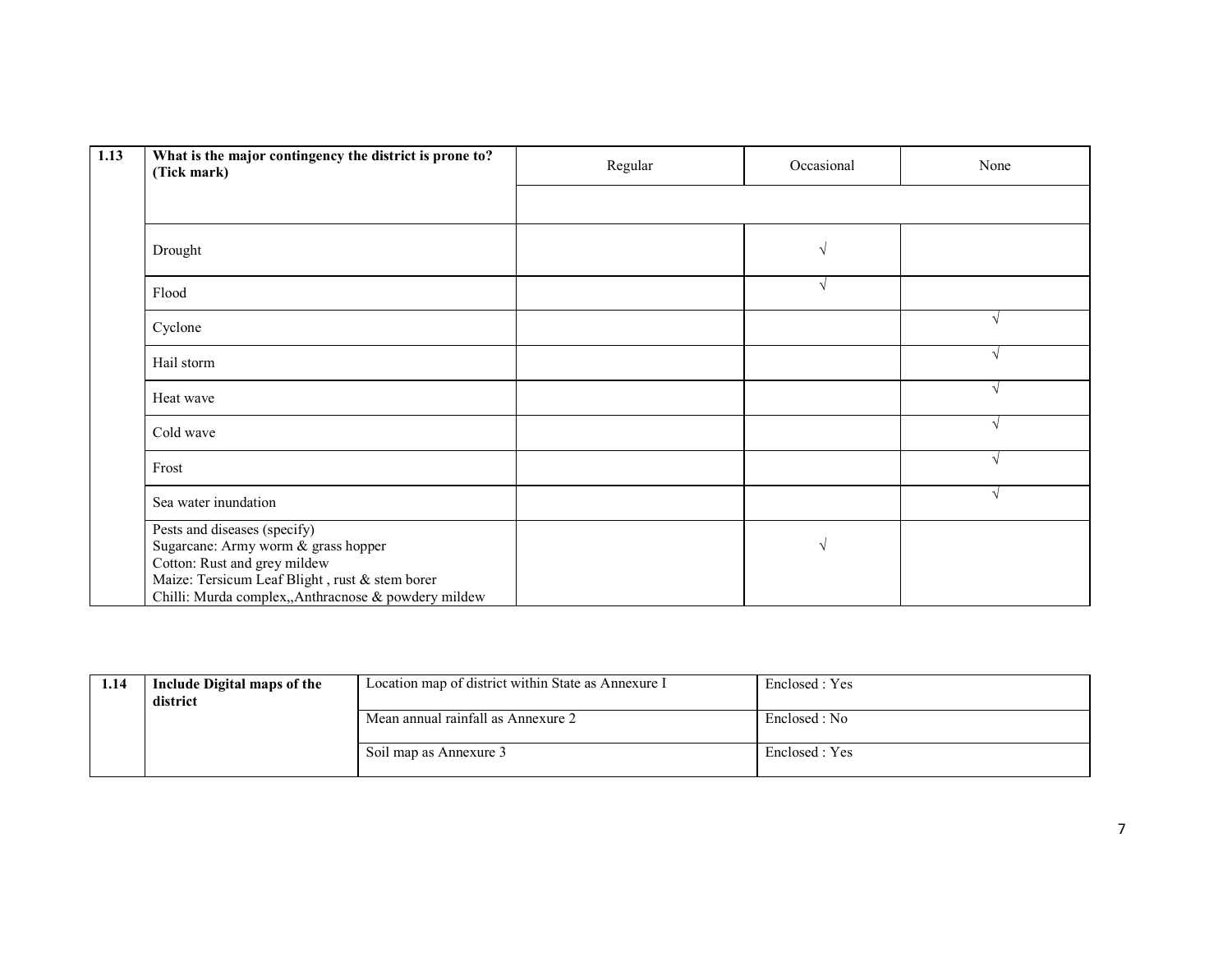| 1.13 | What is the major contingency the district is prone to?<br>(Tick mark)                                                                                                                                       | Regular | Occasional | None       |
|------|--------------------------------------------------------------------------------------------------------------------------------------------------------------------------------------------------------------|---------|------------|------------|
|      |                                                                                                                                                                                                              |         |            |            |
|      | Drought                                                                                                                                                                                                      |         | $\sqrt{ }$ |            |
|      | Flood                                                                                                                                                                                                        |         | $\sqrt{ }$ |            |
|      | Cyclone                                                                                                                                                                                                      |         |            | $\sqrt{ }$ |
|      | Hail storm                                                                                                                                                                                                   |         |            | $\sqrt{ }$ |
|      | Heat wave                                                                                                                                                                                                    |         |            | $\sqrt{ }$ |
|      | Cold wave                                                                                                                                                                                                    |         |            | $\sqrt{ }$ |
|      | Frost                                                                                                                                                                                                        |         |            | $\sqrt{ }$ |
|      | Sea water inundation                                                                                                                                                                                         |         |            | $\sqrt{ }$ |
|      | Pests and diseases (specify)<br>Sugarcane: Army worm & grass hopper<br>Cotton: Rust and grey mildew<br>Maize: Tersicum Leaf Blight, rust & stem borer<br>Chilli: Murda complex,,Anthracnose & powdery mildew |         | $\sqrt{ }$ |            |

| 1.14 | Include Digital maps of the | Location map of district within State as Annexure I | Enclosed : Yes |
|------|-----------------------------|-----------------------------------------------------|----------------|
|      | district                    |                                                     |                |
|      |                             | Mean annual rainfall as Annexure 2                  | Enclosed : No  |
|      |                             |                                                     |                |
|      |                             | Soil map as Annexure 3                              | Enclosed : Yes |
|      |                             |                                                     |                |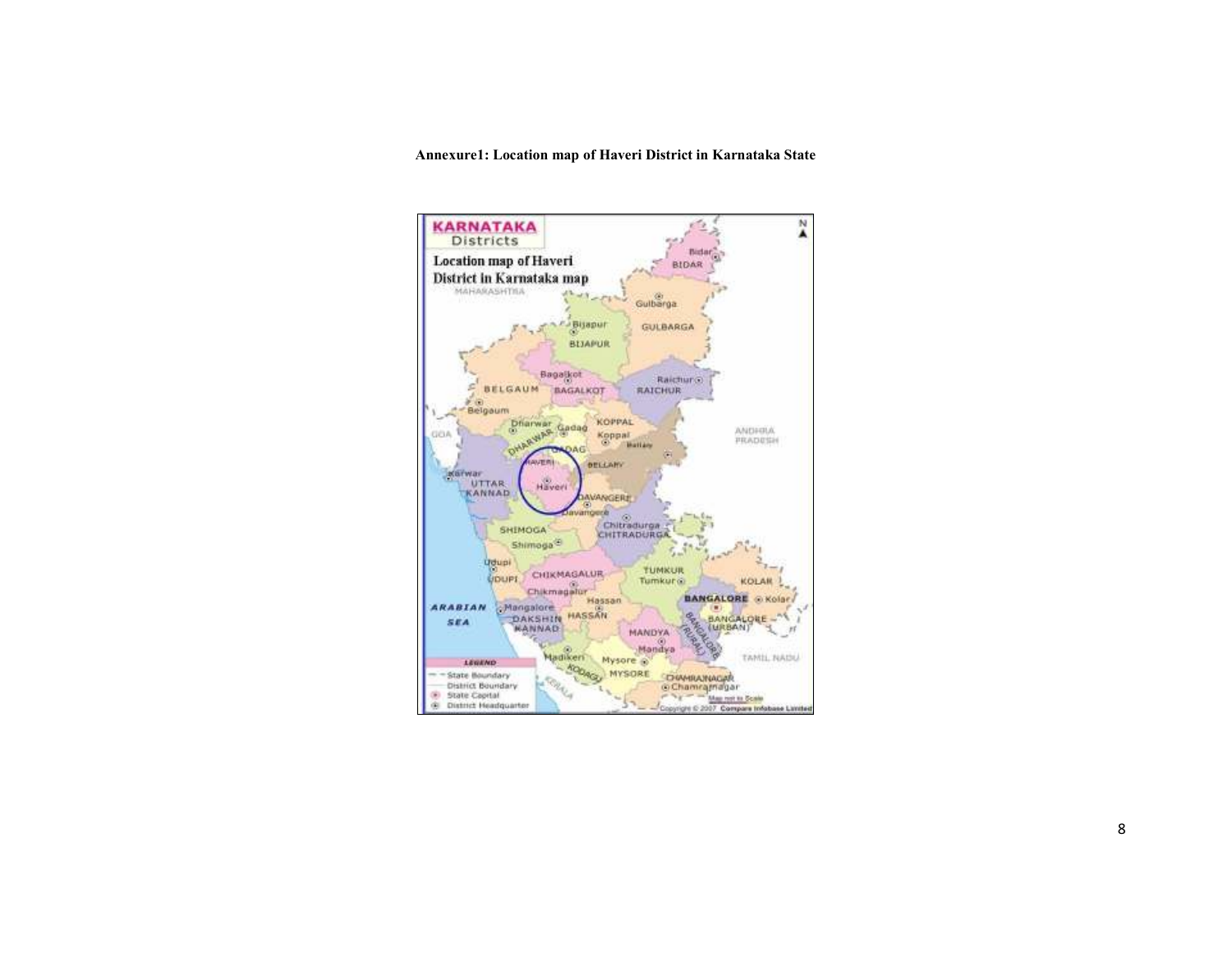Annexure1: Location map of Haveri District in Karnataka State

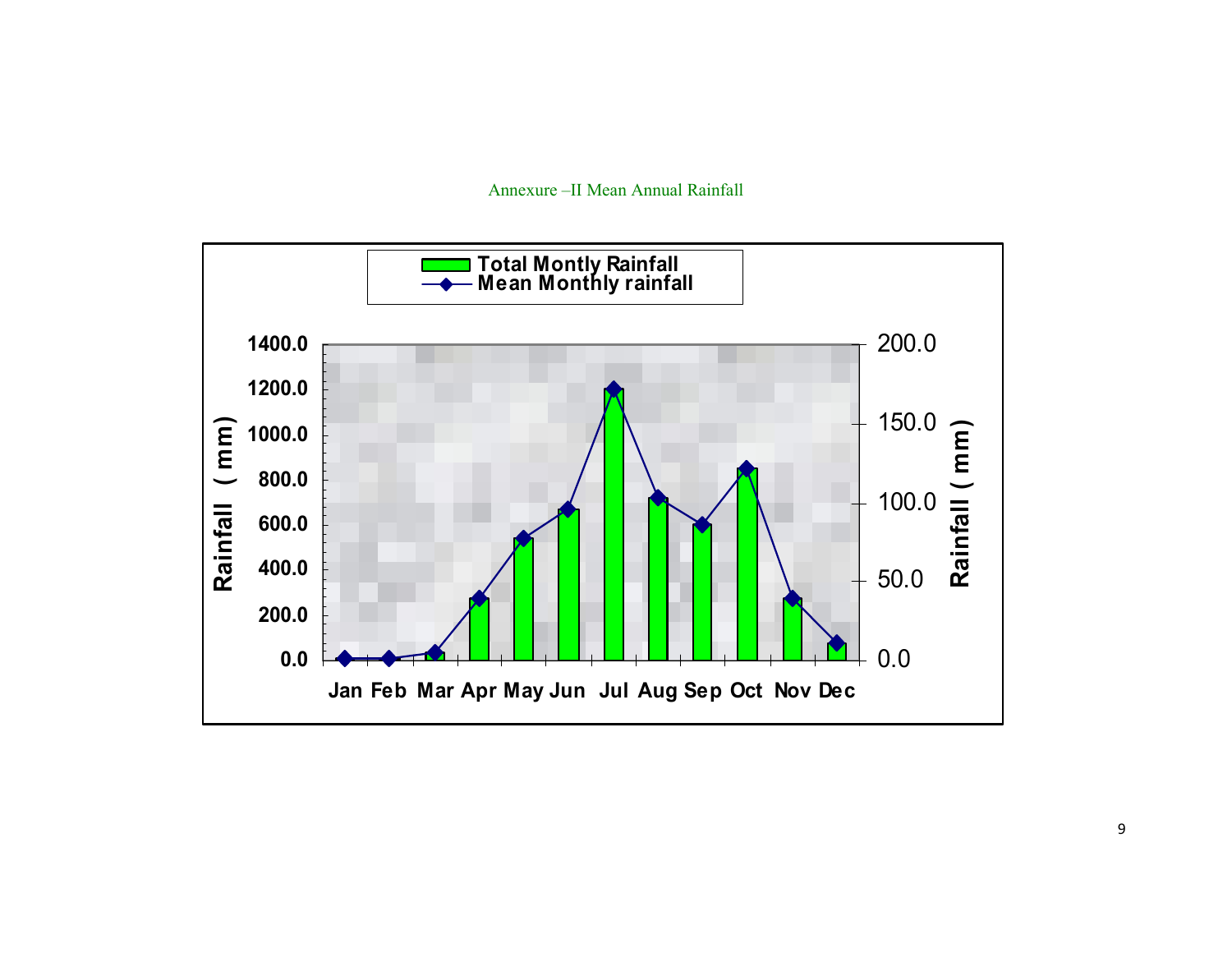

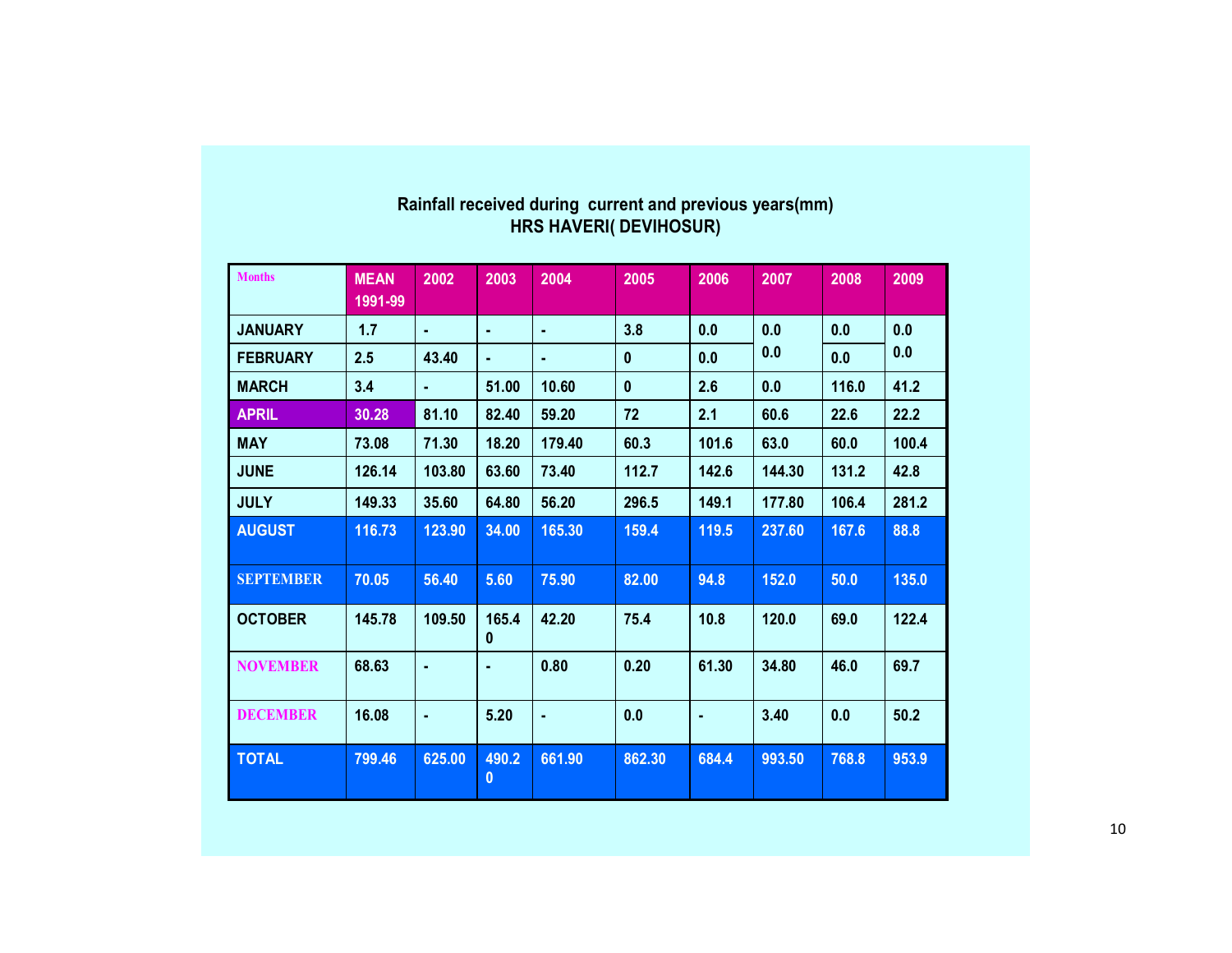| <b>Months</b>    | <b>MEAN</b> | 2002   | 2003                  | 2004   | 2005         | 2006  | 2007   | 2008  | 2009  |
|------------------|-------------|--------|-----------------------|--------|--------------|-------|--------|-------|-------|
|                  | 1991-99     |        |                       |        |              |       |        |       |       |
| <b>JANUARY</b>   | 1.7         | ٠      | ٠                     | ٠      | 3.8          | 0.0   | 0.0    | 0.0   | 0.0   |
| <b>FEBRUARY</b>  | 2.5         | 43.40  | ٠                     | ٠      | $\mathbf{0}$ | 0.0   | 0.0    | 0.0   | 0.0   |
| <b>MARCH</b>     | 3.4         | ٠      | 51.00                 | 10.60  | $\mathbf{0}$ | 2.6   | 0.0    | 116.0 | 41.2  |
| <b>APRIL</b>     | 30.28       | 81.10  | 82.40                 | 59.20  | 72           | 2.1   | 60.6   | 22.6  | 22.2  |
| <b>MAY</b>       | 73.08       | 71.30  | 18.20                 | 179.40 | 60.3         | 101.6 | 63.0   | 60.0  | 100.4 |
| <b>JUNE</b>      | 126.14      | 103.80 | 63.60                 | 73.40  | 112.7        | 142.6 | 144.30 | 131.2 | 42.8  |
| <b>JULY</b>      | 149.33      | 35.60  | 64.80                 | 56.20  | 296.5        | 149.1 | 177.80 | 106.4 | 281.2 |
| <b>AUGUST</b>    | 116.73      | 123.90 | 34.00                 | 165.30 | 159.4        | 119.5 | 237.60 | 167.6 | 88.8  |
| <b>SEPTEMBER</b> | 70.05       | 56.40  | 5.60                  | 75.90  | 82.00        | 94.8  | 152.0  | 50.0  | 135.0 |
| <b>OCTOBER</b>   | 145.78      | 109.50 | 165.4<br>$\mathbf{0}$ | 42.20  | 75.4         | 10.8  | 120.0  | 69.0  | 122.4 |
| <b>NOVEMBER</b>  | 68.63       | ٠      |                       | 0.80   | 0.20         | 61.30 | 34.80  | 46.0  | 69.7  |
| <b>DECEMBER</b>  | 16.08       | ٠      | 5.20                  | ×,     | 0.0          | ٠     | 3.40   | 0.0   | 50.2  |
| <b>TOTAL</b>     | 799.46      | 625.00 | 490.2<br>0            | 661.90 | 862.30       | 684.4 | 993.50 | 768.8 | 953.9 |

# Rainfall received during current and previous years(mm) HRS HAVERI( DEVIHOSUR)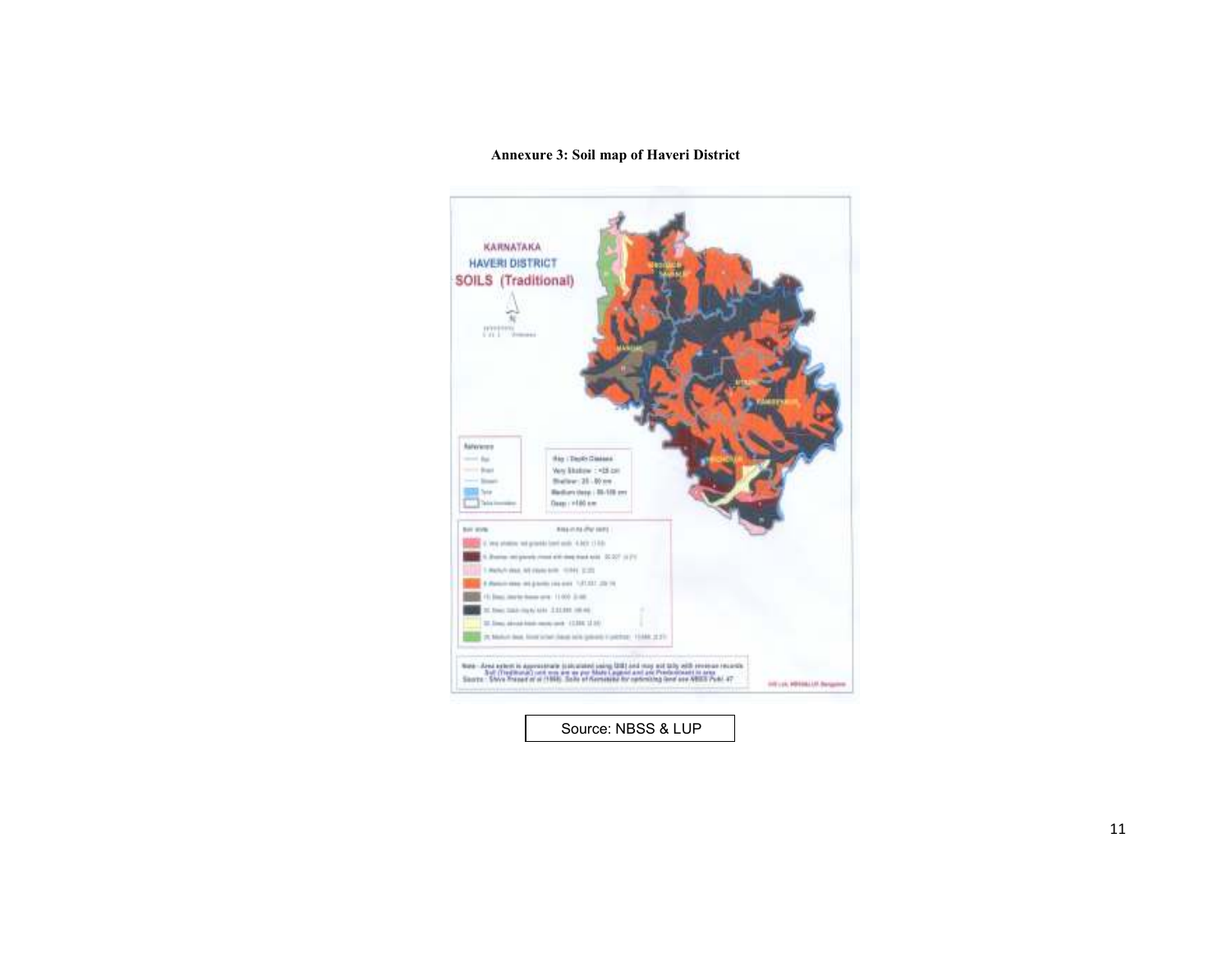#### Annexure 3: Soil map of Haveri District

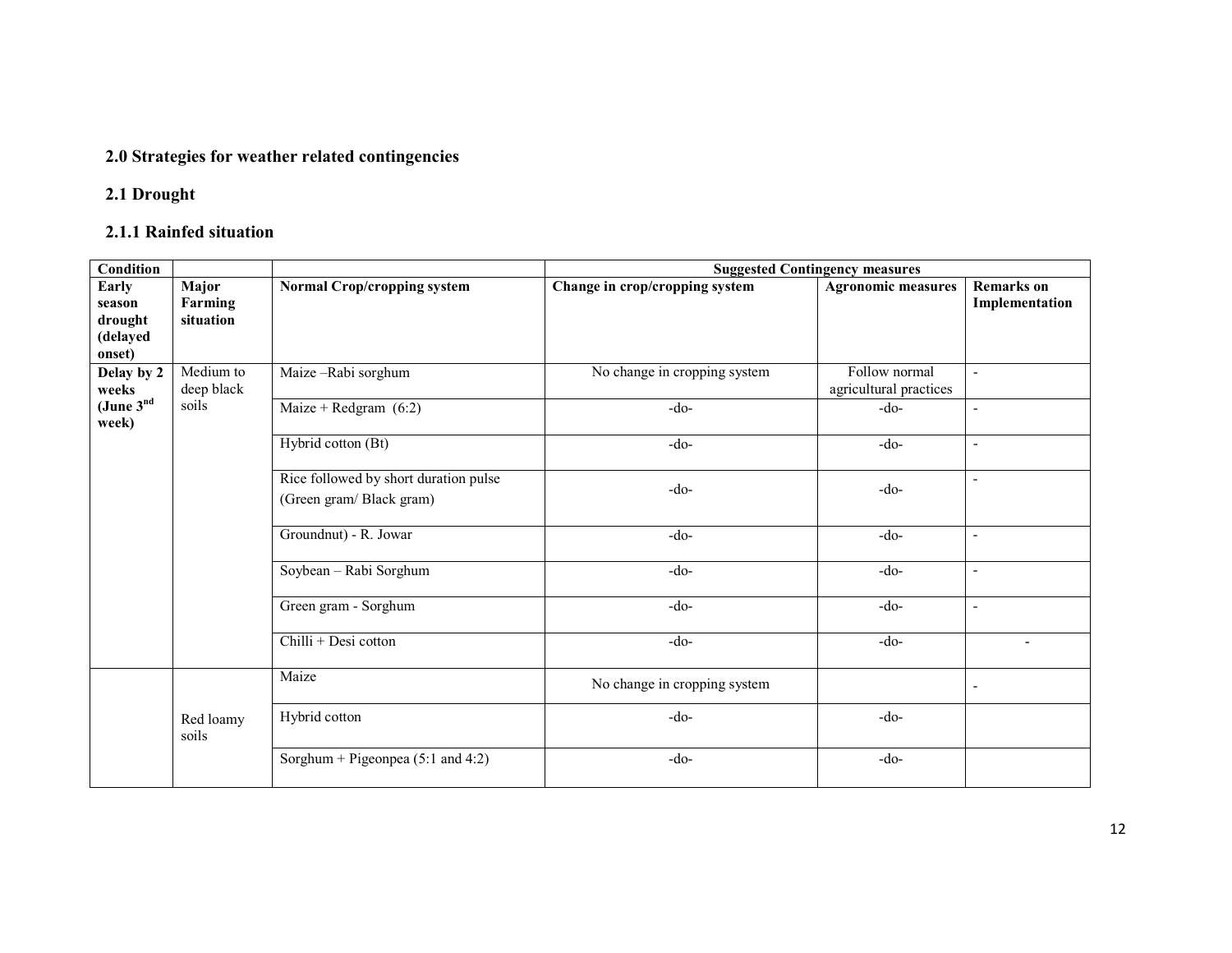## 2.0 Strategies for weather related contingencies

## 2.1 Drought

## 2.1.1 Rainfed situation

| Condition                                               |                                                                  |                                       | <b>Suggested Contingency measures</b> |                                         |                                     |  |  |  |  |
|---------------------------------------------------------|------------------------------------------------------------------|---------------------------------------|---------------------------------------|-----------------------------------------|-------------------------------------|--|--|--|--|
| <b>Early</b><br>season<br>drought<br>(delayed<br>onset) | Major<br>Farming<br>situation                                    | <b>Normal Crop/cropping system</b>    | Change in crop/cropping system        | <b>Agronomic measures</b>               | <b>Remarks</b> on<br>Implementation |  |  |  |  |
| Delay by 2<br>weeks                                     | Medium to<br>deep black                                          | Maize-Rabi sorghum                    | No change in cropping system          | Follow normal<br>agricultural practices | $\overline{\phantom{a}}$            |  |  |  |  |
| (June $3nd$<br>week)                                    | soils                                                            | Maize + Redgram $(6:2)$               | $-do-$                                | $-do-$                                  | $\blacksquare$                      |  |  |  |  |
|                                                         |                                                                  | Hybrid cotton (Bt)                    | $-do-$                                | $-do-$                                  | $\overline{\phantom{a}}$            |  |  |  |  |
|                                                         | Rice followed by short duration pulse<br>(Green gram/Black gram) |                                       | $-do-$                                | $-do-$                                  |                                     |  |  |  |  |
|                                                         |                                                                  | Groundnut) - R. Jowar                 | $-do-$                                | $-do-$                                  | $\blacksquare$                      |  |  |  |  |
|                                                         |                                                                  | Soybean - Rabi Sorghum                | $-do-$                                | $-do-$                                  |                                     |  |  |  |  |
|                                                         |                                                                  | Green gram - Sorghum                  | $-do-$                                | $-do-$                                  | $\overline{\phantom{a}}$            |  |  |  |  |
|                                                         |                                                                  | Chilli + Desi cotton                  | $-do-$                                | $-do-$                                  | $\overline{\phantom{a}}$            |  |  |  |  |
|                                                         |                                                                  | Maize                                 | No change in cropping system          |                                         | $\blacksquare$                      |  |  |  |  |
|                                                         | Red loamy<br>soils                                               | Hybrid cotton                         | $-do-$                                | $-do-$                                  |                                     |  |  |  |  |
|                                                         |                                                                  | Sorghum + Pigeonpea $(5:1$ and $4:2)$ | $-do-$                                | $-do-$                                  |                                     |  |  |  |  |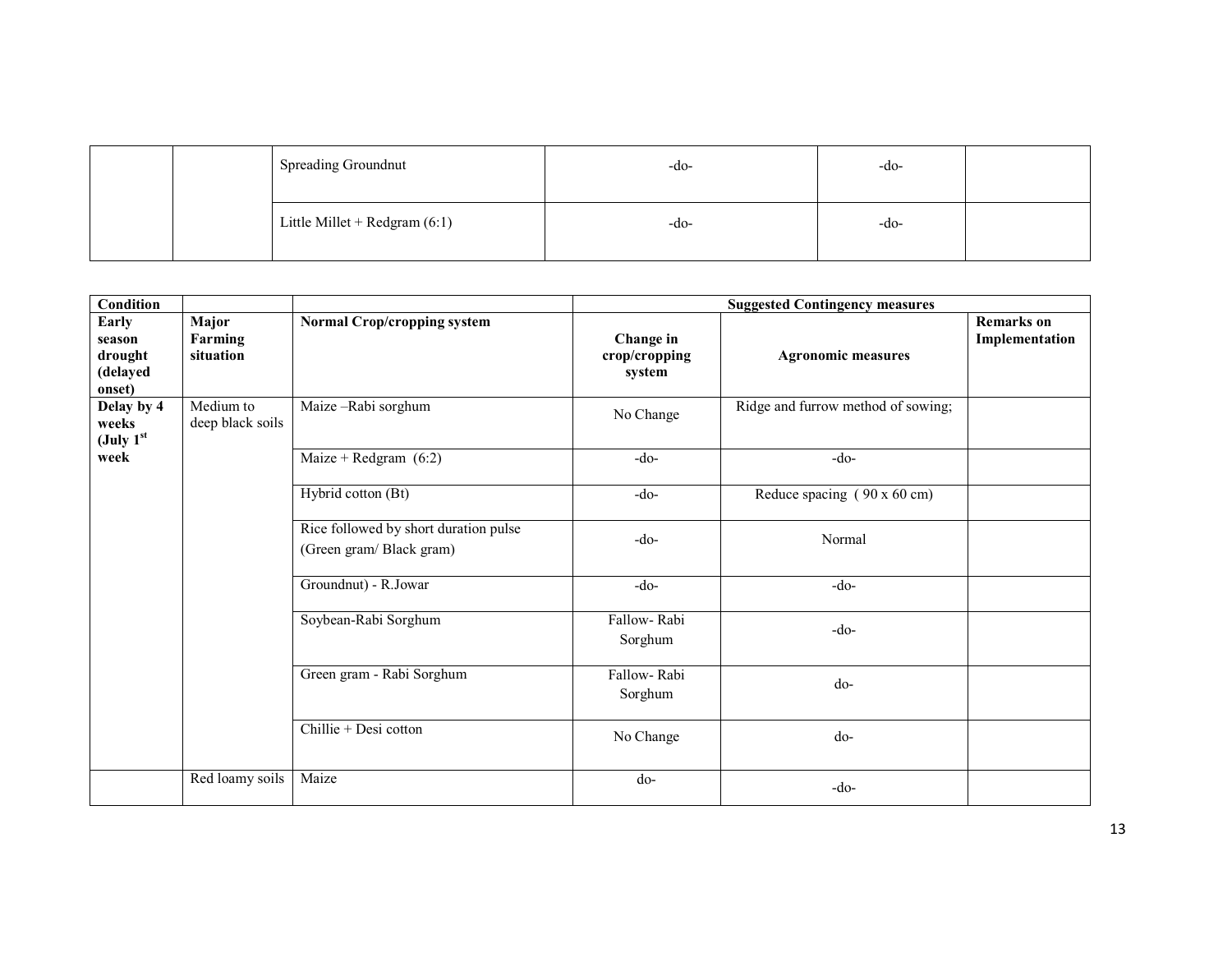|  | <b>Spreading Groundnut</b>      | $-dO$ | -do- |  |
|--|---------------------------------|-------|------|--|
|  | Little Millet + Redgram $(6:1)$ | $-dO$ | -do- |  |

| Condition                                        |                                      |                                                                  | <b>Suggested Contingency measures</b> |                                    |                                     |  |  |
|--------------------------------------------------|--------------------------------------|------------------------------------------------------------------|---------------------------------------|------------------------------------|-------------------------------------|--|--|
| Early<br>season<br>drought<br>(delayed<br>onset) | <b>Major</b><br>Farming<br>situation | <b>Normal Crop/cropping system</b>                               | Change in<br>crop/cropping<br>system  | <b>Agronomic measures</b>          | <b>Remarks</b> on<br>Implementation |  |  |
| Delay by 4<br>weeks<br>(July $1st$               | Medium to<br>deep black soils        | Maize-Rabi sorghum                                               | No Change                             | Ridge and furrow method of sowing; |                                     |  |  |
| week                                             |                                      | Maize + Redgram $(6:2)$                                          | $-do-$                                | $-do-$                             |                                     |  |  |
|                                                  |                                      | Hybrid cotton (Bt)                                               | $-do-$                                | Reduce spacing (90 x 60 cm)        |                                     |  |  |
|                                                  |                                      | Rice followed by short duration pulse<br>(Green gram/Black gram) | $-do-$                                | Normal                             |                                     |  |  |
|                                                  |                                      | Groundnut) - R.Jowar                                             | $-do-$                                | $-do-$                             |                                     |  |  |
|                                                  |                                      | Soybean-Rabi Sorghum                                             | Fallow-Rabi<br>Sorghum                | $-do-$                             |                                     |  |  |
|                                                  |                                      | Green gram - Rabi Sorghum                                        | Fallow-Rabi<br>Sorghum                | do-                                |                                     |  |  |
|                                                  |                                      | Chillie + Desi cotton                                            | No Change                             | do-                                |                                     |  |  |
|                                                  | Red loamy soils                      | Maize                                                            | do-                                   | $-do-$                             |                                     |  |  |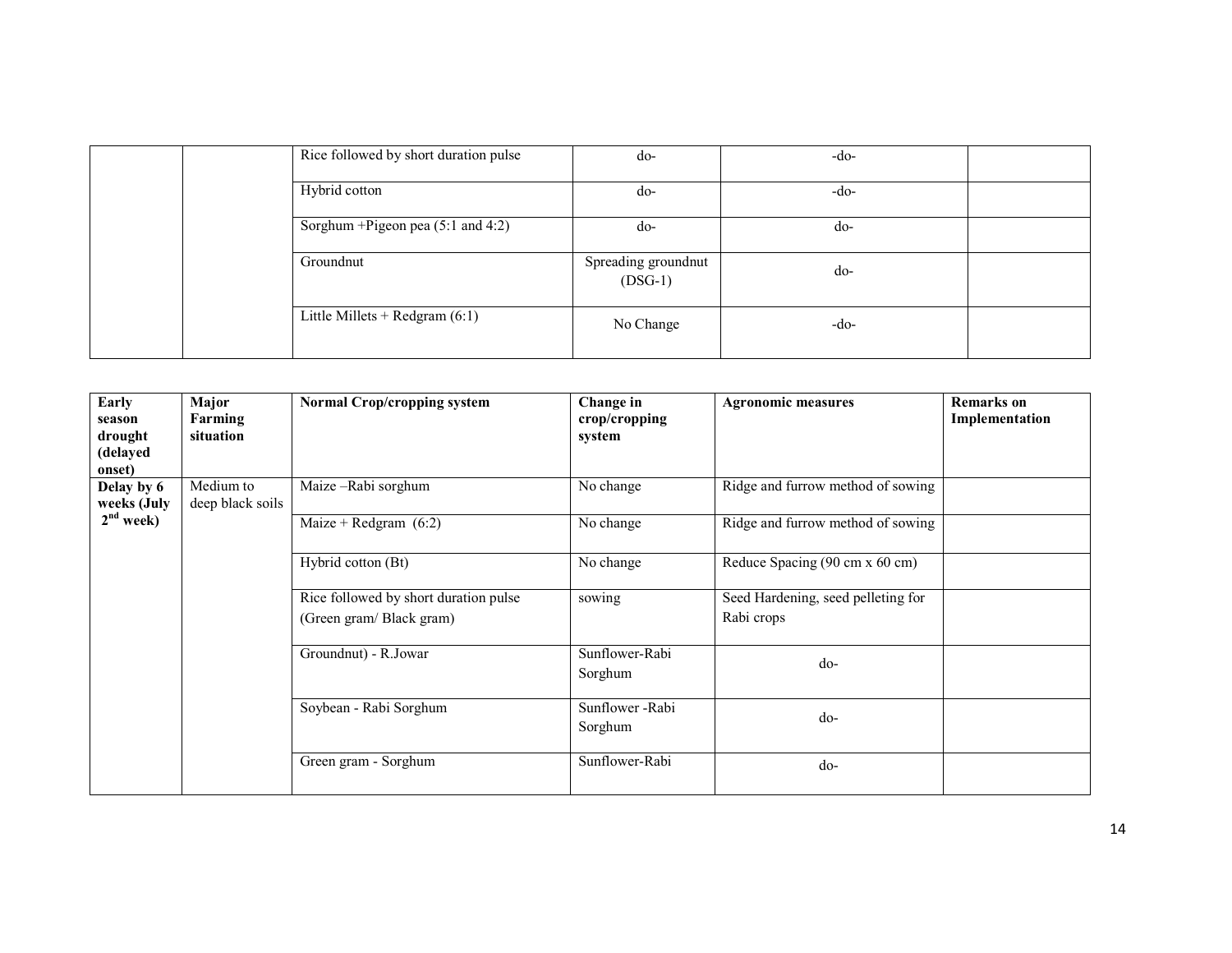|  | Rice followed by short duration pulse | do-                              | $-do-$ |  |
|--|---------------------------------------|----------------------------------|--------|--|
|  | Hybrid cotton                         | $d_{0}$ -                        | $-do-$ |  |
|  | Sorghum + Pigeon pea (5:1 and 4:2)    | $d_{0}$ -                        | do-    |  |
|  | Groundnut                             | Spreading groundnut<br>$(DSG-1)$ | do-    |  |
|  | Little Millets + Redgram $(6:1)$      | No Change                        | $-do-$ |  |

| Early<br>season<br>drought<br>(delayed<br>onset) | Major<br>Farming<br>situation | <b>Normal Crop/cropping system</b>                               | Change in<br>crop/cropping<br>system | <b>Agronomic measures</b>                        | <b>Remarks</b> on<br>Implementation |
|--------------------------------------------------|-------------------------------|------------------------------------------------------------------|--------------------------------------|--------------------------------------------------|-------------------------------------|
| Delay by 6<br>weeks (July                        | Medium to<br>deep black soils | Maize-Rabi sorghum                                               | No change                            | Ridge and furrow method of sowing                |                                     |
| $2nd$ week)                                      |                               | Maize + Redgram $(6:2)$                                          | No change                            | Ridge and furrow method of sowing                |                                     |
|                                                  |                               | Hybrid cotton (Bt)                                               | No change                            | Reduce Spacing (90 cm x 60 cm)                   |                                     |
|                                                  |                               | Rice followed by short duration pulse<br>(Green gram/Black gram) | sowing                               | Seed Hardening, seed pelleting for<br>Rabi crops |                                     |
|                                                  |                               | Groundnut) - R.Jowar                                             | Sunflower-Rabi<br>Sorghum            | do-                                              |                                     |
|                                                  |                               | Soybean - Rabi Sorghum                                           | Sunflower - Rabi<br>Sorghum          | do-                                              |                                     |
|                                                  |                               | Green gram - Sorghum                                             | Sunflower-Rabi                       | do-                                              |                                     |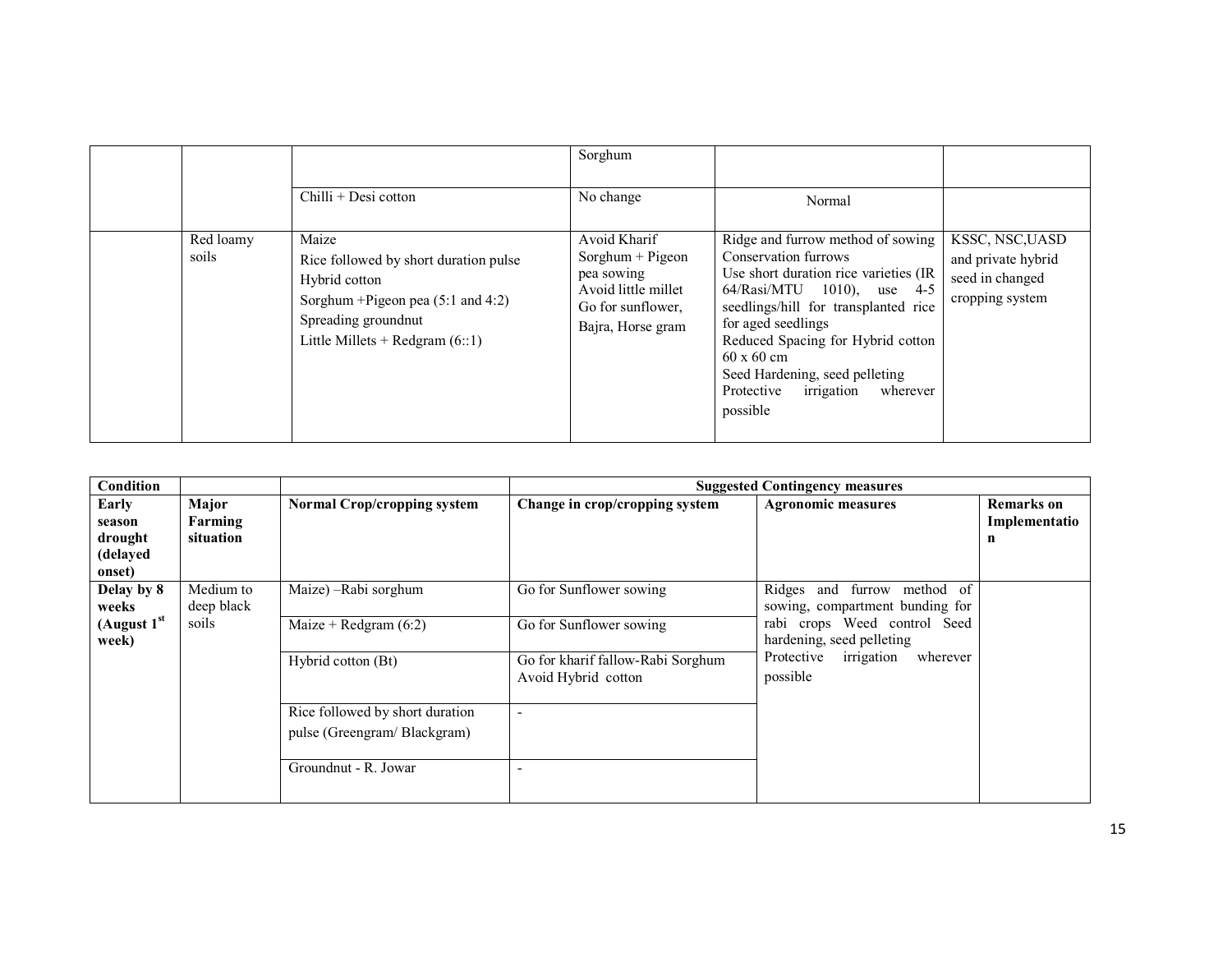|                    |                                                                                                                                                                       | Sorghum                                                                                                            |                                                                                                                                                                                                                                                                                                                                                |                                                                             |
|--------------------|-----------------------------------------------------------------------------------------------------------------------------------------------------------------------|--------------------------------------------------------------------------------------------------------------------|------------------------------------------------------------------------------------------------------------------------------------------------------------------------------------------------------------------------------------------------------------------------------------------------------------------------------------------------|-----------------------------------------------------------------------------|
|                    | Chilli + Desi cotton                                                                                                                                                  | No change                                                                                                          | Normal                                                                                                                                                                                                                                                                                                                                         |                                                                             |
| Red loamy<br>soils | Maize<br>Rice followed by short duration pulse<br>Hybrid cotton<br>Sorghum + Pigeon pea $(5:1$ and $4:2)$<br>Spreading groundnut<br>Little Millets + Redgram $(6::1)$ | Avoid Kharif<br>$S$ orghum + Pigeon<br>pea sowing<br>Avoid little millet<br>Go for sunflower,<br>Bajra, Horse gram | Ridge and furrow method of sowing<br>Conservation furrows<br>Use short duration rice varieties (IR<br>64/Rasi/MTU 1010), use 4-5<br>seedlings/hill for transplanted rice<br>for aged seedlings<br>Reduced Spacing for Hybrid cotton<br>$60 \times 60$ cm<br>Seed Hardening, seed pelleting<br>irrigation<br>Protective<br>wherever<br>possible | KSSC, NSC, UASD<br>and private hybrid<br>seed in changed<br>cropping system |

| Condition                                        |                                  |                                                                                        |                                                                                                                | <b>Suggested Contingency measures</b>                                                                                                                                                |                                         |
|--------------------------------------------------|----------------------------------|----------------------------------------------------------------------------------------|----------------------------------------------------------------------------------------------------------------|--------------------------------------------------------------------------------------------------------------------------------------------------------------------------------------|-----------------------------------------|
| Early<br>season<br>drought<br>(delayed<br>onset) | Major<br>Farming<br>situation    | <b>Normal Crop/cropping system</b>                                                     | Change in crop/cropping system                                                                                 | <b>Agronomic measures</b>                                                                                                                                                            | <b>Remarks</b> on<br>Implementatio<br>n |
| Delay by 8<br>weeks<br>(August $1st$<br>week)    | Medium to<br>deep black<br>soils | Maize) - Rabi sorghum<br>Maize + Redgram $(6:2)$<br>Hybrid cotton (Bt)                 | Go for Sunflower sowing<br>Go for Sunflower sowing<br>Go for kharif fallow-Rabi Sorghum<br>Avoid Hybrid cotton | - of<br>Ridges and furrow<br>method<br>sowing, compartment bunding for<br>rabi crops Weed control Seed<br>hardening, seed pelleting<br>Protective irrigation<br>wherever<br>possible |                                         |
|                                                  |                                  | Rice followed by short duration<br>pulse (Greengram/Blackgram)<br>Groundnut - R. Jowar |                                                                                                                |                                                                                                                                                                                      |                                         |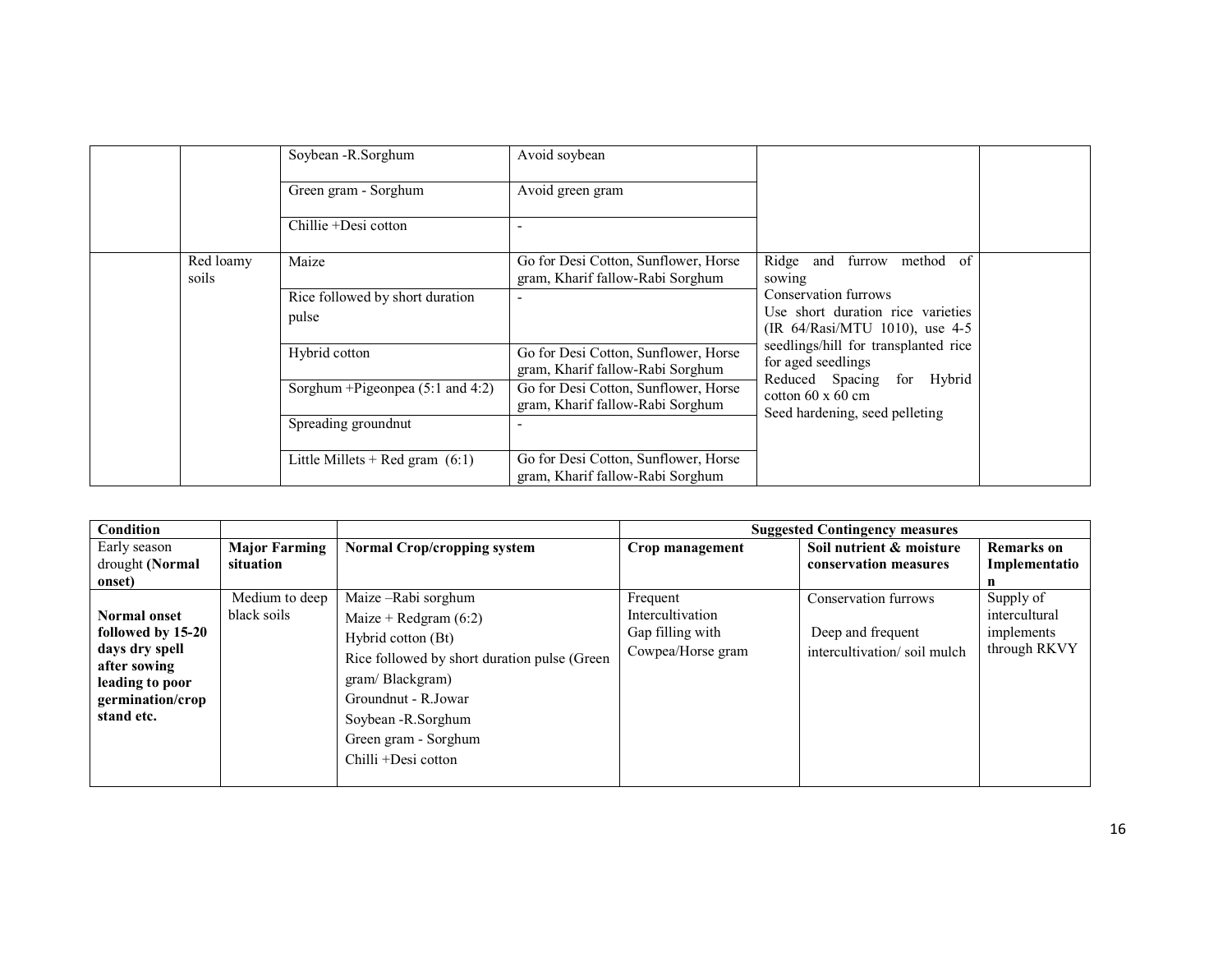|  |                    | Soybean - R. Sorghum              | Avoid soybean                                                            |                                                                                             |
|--|--------------------|-----------------------------------|--------------------------------------------------------------------------|---------------------------------------------------------------------------------------------|
|  |                    | Green gram - Sorghum              | Avoid green gram                                                         |                                                                                             |
|  |                    | Chillie +Desi cotton              |                                                                          |                                                                                             |
|  | Red loamy<br>soils | Maize                             | Go for Desi Cotton, Sunflower, Horse<br>gram, Kharif fallow-Rabi Sorghum | of<br>Ridge and<br>furrow<br>method<br>sowing                                               |
|  |                    | Rice followed by short duration   |                                                                          | Conservation furrows                                                                        |
|  |                    | pulse                             |                                                                          | Use short duration rice varieties<br>(IR 64/Rasi/MTU 1010), use 4-5                         |
|  |                    | Hybrid cotton                     | Go for Desi Cotton, Sunflower, Horse<br>gram, Kharif fallow-Rabi Sorghum | seedlings/hill for transplanted rice<br>for aged seedlings<br>Reduced Spacing<br>for Hybrid |
|  |                    | Sorghum + Pigeonpea (5:1 and 4:2) | Go for Desi Cotton, Sunflower, Horse<br>gram, Kharif fallow-Rabi Sorghum | cotton $60 \times 60$ cm<br>Seed hardening, seed pelleting                                  |
|  |                    | Spreading groundnut               |                                                                          |                                                                                             |
|  |                    | Little Millets + Red gram $(6:1)$ | Go for Desi Cotton, Sunflower, Horse<br>gram, Kharif fallow-Rabi Sorghum |                                                                                             |

| Condition                                                                                                                       |                                                    |                                                                                                                                                                                                                                       |                                                                       | <b>Suggested Contingency measures</b>                                    |                                                          |
|---------------------------------------------------------------------------------------------------------------------------------|----------------------------------------------------|---------------------------------------------------------------------------------------------------------------------------------------------------------------------------------------------------------------------------------------|-----------------------------------------------------------------------|--------------------------------------------------------------------------|----------------------------------------------------------|
| Early season<br>drought (Normal<br>onset)                                                                                       | <b>Major Farming</b><br>situation                  | <b>Normal Crop/cropping system</b>                                                                                                                                                                                                    | Crop management                                                       | Soil nutrient & moisture<br>conservation measures                        | <b>Remarks</b> on<br>Implementatio                       |
| <b>Normal onset</b><br>followed by 15-20<br>days dry spell<br>after sowing<br>leading to poor<br>germination/crop<br>stand etc. | $\overline{\text{M}}$ edium to deep<br>black soils | Maize-Rabi sorghum<br>Maize + Redgram $(6:2)$<br>Hybrid cotton (Bt)<br>Rice followed by short duration pulse (Green)<br>gram/Blackgram)<br>Groundnut - R.Jowar<br>Soybean - R. Sorghum<br>Green gram - Sorghum<br>Chilli +Desi cotton | Frequent<br>Intercultivation<br>Gap filling with<br>Cowpea/Horse gram | Conservation furrows<br>Deep and frequent<br>intercultivation/soil mulch | Supply of<br>intercultural<br>implements<br>through RKVY |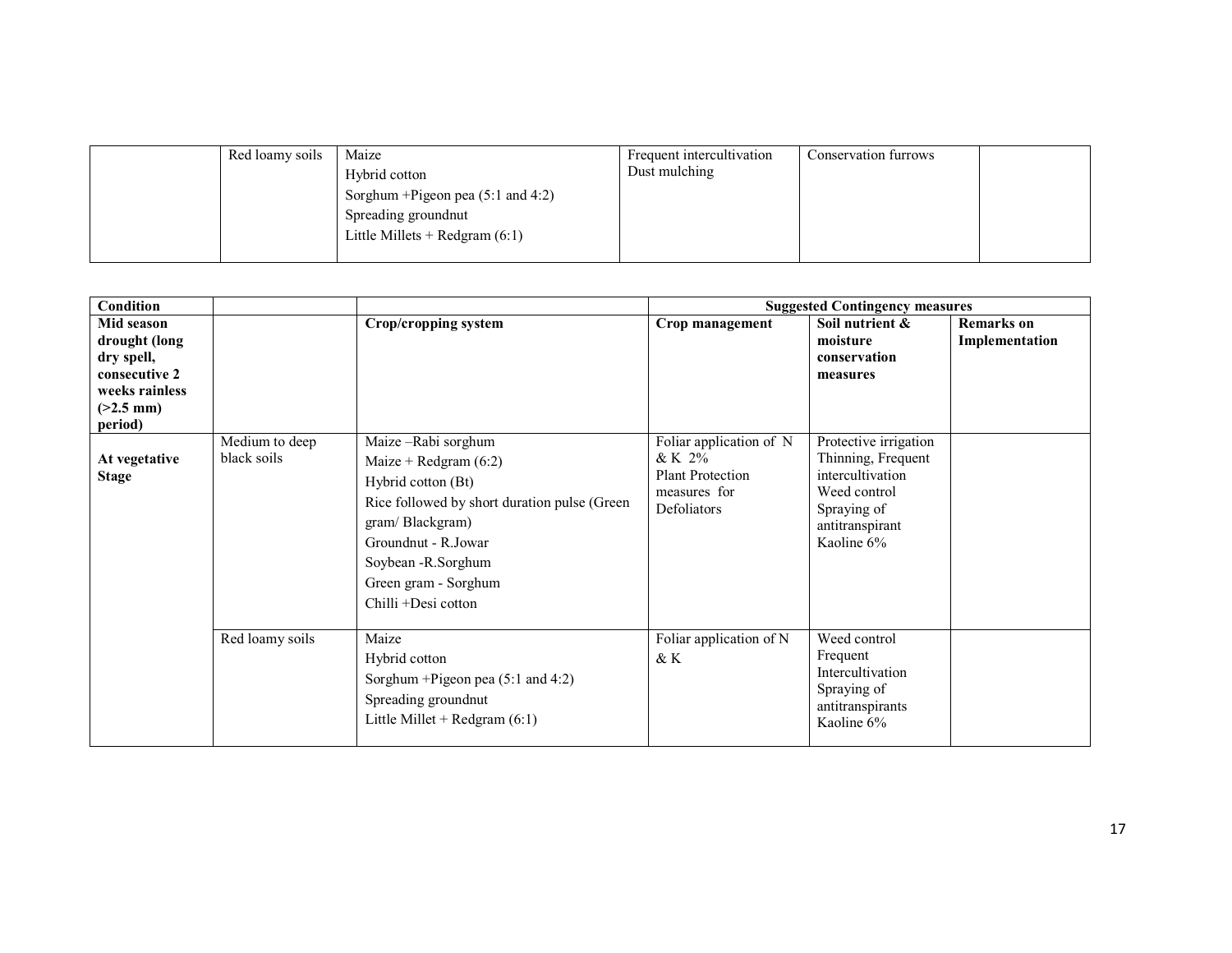| Red loamy soils | Maize<br>Hybrid cotton<br>Sorghum + Pigeon pea $(5:1 \text{ and } 4:2)$<br>Spreading groundnut<br>Little Millets + Redgram $(6:1)$ | Frequent intercultivation<br>Dust mulching | Conservation furrows |  |
|-----------------|------------------------------------------------------------------------------------------------------------------------------------|--------------------------------------------|----------------------|--|
|                 |                                                                                                                                    |                                            |                      |  |

| Condition                                                                                   |                               |                                                                                                                                                                                                                                      |                                                                                               | <b>Suggested Contingency measures</b>                                                                                           |                                     |
|---------------------------------------------------------------------------------------------|-------------------------------|--------------------------------------------------------------------------------------------------------------------------------------------------------------------------------------------------------------------------------------|-----------------------------------------------------------------------------------------------|---------------------------------------------------------------------------------------------------------------------------------|-------------------------------------|
| Mid season<br>drought (long<br>dry spell,<br>consecutive 2<br>weeks rainless<br>$(>2.5$ mm) |                               | Crop/cropping system                                                                                                                                                                                                                 | Crop management                                                                               | Soil nutrient &<br>moisture<br>conservation<br>measures                                                                         | <b>Remarks</b> on<br>Implementation |
| period)<br>At vegetative<br><b>Stage</b>                                                    | Medium to deep<br>black soils | Maize-Rabi sorghum<br>Maize + Redgram $(6:2)$<br>Hybrid cotton (Bt)<br>Rice followed by short duration pulse (Green<br>gram/Blackgram)<br>Groundnut - R.Jowar<br>Soybean - R. Sorghum<br>Green gram - Sorghum<br>Chilli +Desi cotton | Foliar application of N<br>$&$ K 2%<br><b>Plant Protection</b><br>measures for<br>Defoliators | Protective irrigation<br>Thinning, Frequent<br>intercultivation<br>Weed control<br>Spraying of<br>antitranspirant<br>Kaoline 6% |                                     |
|                                                                                             | Red loamy soils               | Maize<br>Hybrid cotton<br>Sorghum + Pigeon pea (5:1 and 4:2)<br>Spreading groundnut<br>Little Millet + Redgram $(6:1)$                                                                                                               | Foliar application of N<br>& K                                                                | Weed control<br>Frequent<br>Intercultivation<br>Spraying of<br>antitranspirants<br>Kaoline 6%                                   |                                     |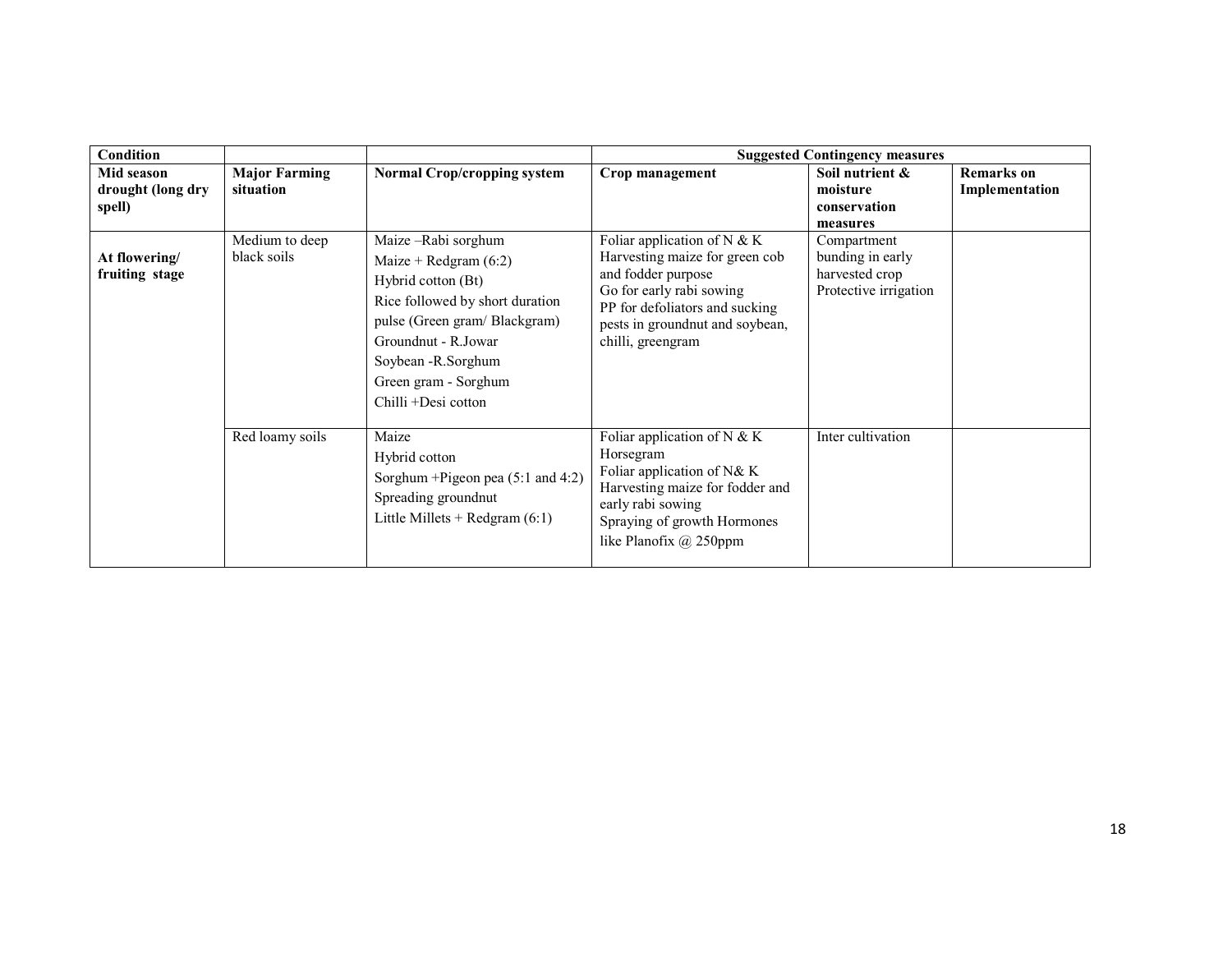| <b>Condition</b>                          |                                   |                                                                                                                                                                                                                                    |                                                                                                                                                                                                             | <b>Suggested Contingency measures</b>                                      |                                     |
|-------------------------------------------|-----------------------------------|------------------------------------------------------------------------------------------------------------------------------------------------------------------------------------------------------------------------------------|-------------------------------------------------------------------------------------------------------------------------------------------------------------------------------------------------------------|----------------------------------------------------------------------------|-------------------------------------|
| Mid season<br>drought (long dry<br>spell) | <b>Major Farming</b><br>situation | <b>Normal Crop/cropping system</b>                                                                                                                                                                                                 | Crop management                                                                                                                                                                                             | Soil nutrient &<br>moisture<br>conservation                                | <b>Remarks</b> on<br>Implementation |
|                                           |                                   |                                                                                                                                                                                                                                    |                                                                                                                                                                                                             | measures                                                                   |                                     |
| At flowering/<br>fruiting stage           | Medium to deep<br>black soils     | Maize-Rabi sorghum<br>Maize + Redgram $(6:2)$<br>Hybrid cotton (Bt)<br>Rice followed by short duration<br>pulse (Green gram/Blackgram)<br>Groundnut - R.Jowar<br>Soybean -R.Sorghum<br>Green gram - Sorghum<br>Chilli +Desi cotton | Foliar application of $N & K$<br>Harvesting maize for green cob<br>and fodder purpose<br>Go for early rabi sowing<br>PP for defoliators and sucking<br>pests in groundnut and soybean,<br>chilli, greengram | Compartment<br>bunding in early<br>harvested crop<br>Protective irrigation |                                     |
|                                           | Red loamy soils                   | Maize<br>Hybrid cotton<br>Sorghum + Pigeon pea (5:1 and 4:2)<br>Spreading groundnut<br>Little Millets + Redgram $(6:1)$                                                                                                            | Foliar application of $N & K$<br>Horsegram<br>Foliar application of N& K<br>Harvesting maize for fodder and<br>early rabi sowing<br>Spraying of growth Hormones<br>like Planofix @ 250ppm                   | Inter cultivation                                                          |                                     |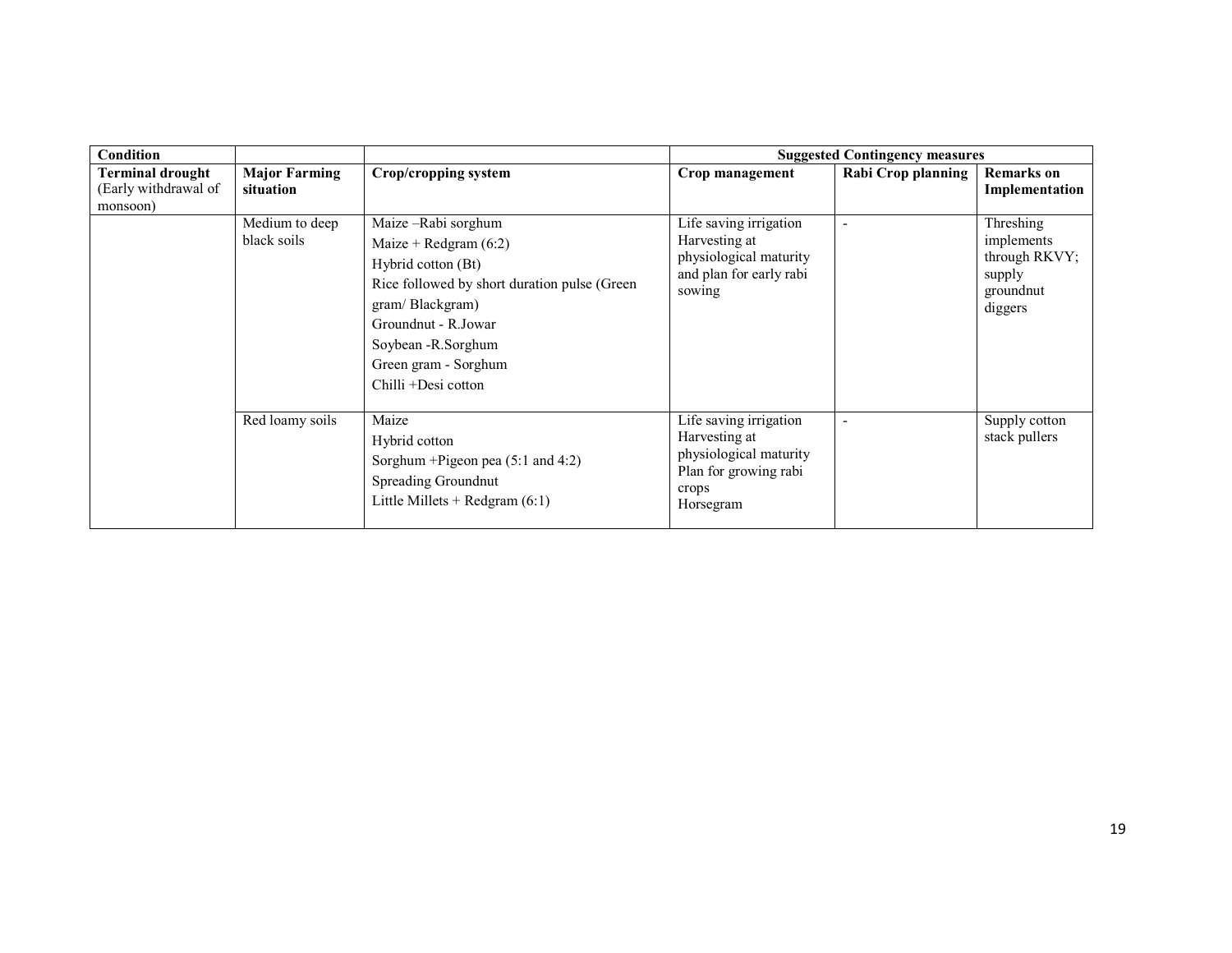| Condition                                            |                                   |                                                                                                                                                                                                                                         |                                                                                                                  | <b>Suggested Contingency measures</b> |                                                                            |
|------------------------------------------------------|-----------------------------------|-----------------------------------------------------------------------------------------------------------------------------------------------------------------------------------------------------------------------------------------|------------------------------------------------------------------------------------------------------------------|---------------------------------------|----------------------------------------------------------------------------|
| Terminal drought<br>(Early withdrawal of<br>monsoon) | <b>Major Farming</b><br>situation | Crop/cropping system                                                                                                                                                                                                                    | Crop management                                                                                                  | Rabi Crop planning                    | <b>Remarks</b> on<br>Implementation                                        |
|                                                      | Medium to deep<br>black soils     | Maize – Rabi sorghum<br>Maize + Redgram $(6:2)$<br>Hybrid cotton (Bt)<br>Rice followed by short duration pulse (Green)<br>gram/Blackgram)<br>Groundnut - R.Jowar<br>Soybean - R. Sorghum<br>Green gram - Sorghum<br>Chilli +Desi cotton | Life saving irrigation<br>Harvesting at<br>physiological maturity<br>and plan for early rabi<br>sowing           | $\overline{\phantom{a}}$              | Threshing<br>implements<br>through RKVY;<br>supply<br>groundnut<br>diggers |
|                                                      | Red loamy soils                   | Maize<br>Hybrid cotton<br>Sorghum + Pigeon pea $(5:1$ and $4:2)$<br>Spreading Groundnut<br>Little Millets + Redgram $(6:1)$                                                                                                             | Life saving irrigation<br>Harvesting at<br>physiological maturity<br>Plan for growing rabi<br>crops<br>Horsegram | $\overline{\phantom{a}}$              | Supply cotton<br>stack pullers                                             |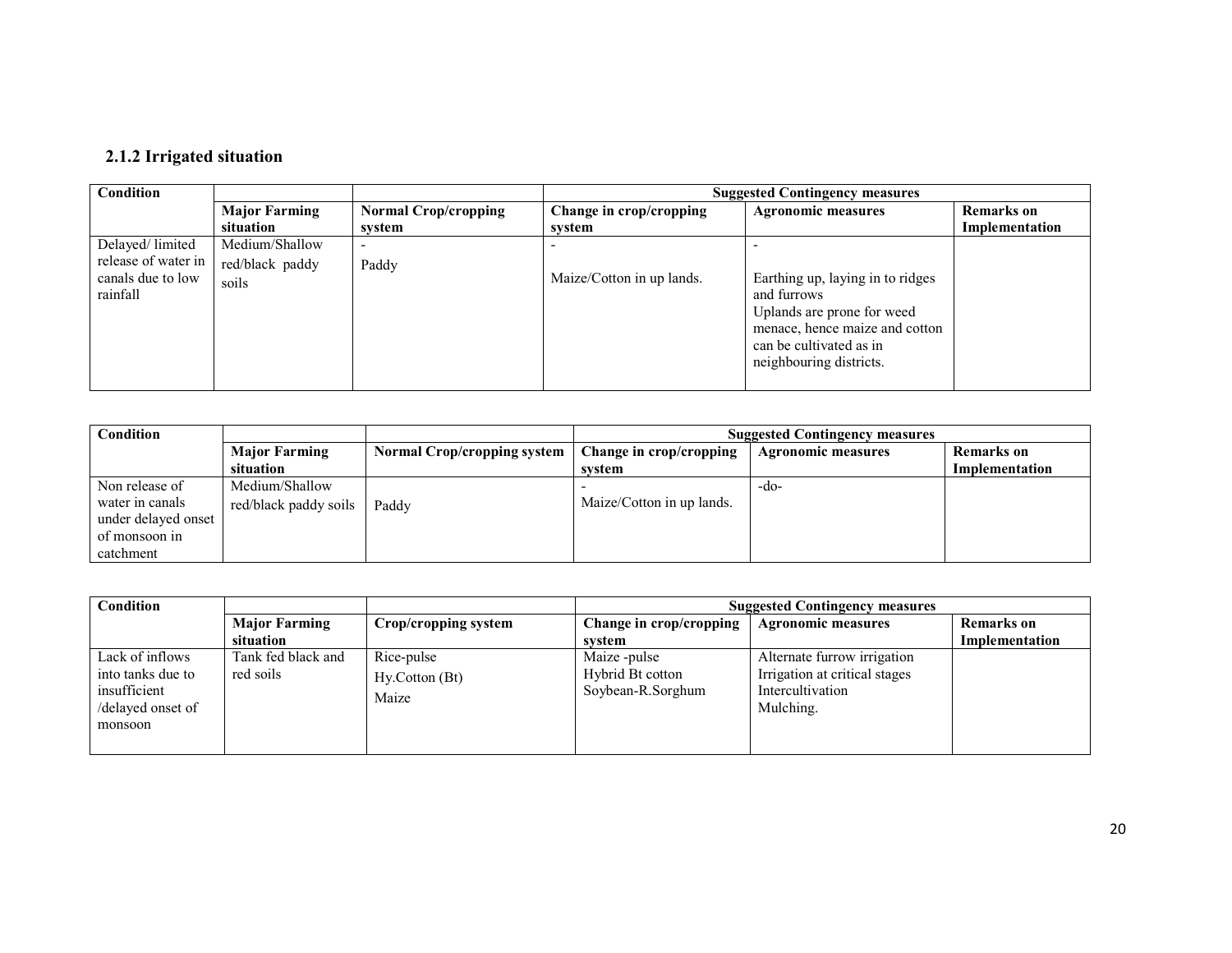#### 2.1.2 Irrigated situation

| <b>Condition</b>    |                      |                             |                           | <b>Suggested Contingency measures</b> |                   |
|---------------------|----------------------|-----------------------------|---------------------------|---------------------------------------|-------------------|
|                     | <b>Major Farming</b> | <b>Normal Crop/cropping</b> | Change in crop/cropping   | <b>Agronomic measures</b>             | <b>Remarks</b> on |
|                     | situation            | svstem                      | svstem                    |                                       | Implementation    |
| Delayed/limited     | Medium/Shallow       |                             |                           |                                       |                   |
| release of water in | red/black paddy      | Paddy                       |                           |                                       |                   |
| canals due to low   | soils                |                             | Maize/Cotton in up lands. | Earthing up, laying in to ridges      |                   |
| rainfall            |                      |                             |                           | and furrows                           |                   |
|                     |                      |                             |                           | Uplands are prone for weed            |                   |
|                     |                      |                             |                           | menace, hence maize and cotton        |                   |
|                     |                      |                             |                           | can be cultivated as in               |                   |
|                     |                      |                             |                           | neighbouring districts.               |                   |
|                     |                      |                             |                           |                                       |                   |

| Condition           |                       |                                    | <b>Suggested Contingency measures</b> |                           |                |
|---------------------|-----------------------|------------------------------------|---------------------------------------|---------------------------|----------------|
|                     | <b>Major Farming</b>  | <b>Normal Crop/cropping system</b> | Change in crop/cropping               | <b>Agronomic measures</b> | Remarks on     |
|                     | situation             |                                    | svstem                                |                           | Implementation |
| Non release of      | Medium/Shallow        |                                    |                                       | $-d0-$                    |                |
| water in canals     | red/black paddy soils | Paddy                              | Maize/Cotton in up lands.             |                           |                |
| under delayed onset |                       |                                    |                                       |                           |                |
| of monsoon in       |                       |                                    |                                       |                           |                |
| catchment           |                       |                                    |                                       |                           |                |

| Condition                                                                            |                                   |                                       |                                                       | <b>Suggested Contingency measures</b>                                                         |                                     |
|--------------------------------------------------------------------------------------|-----------------------------------|---------------------------------------|-------------------------------------------------------|-----------------------------------------------------------------------------------------------|-------------------------------------|
|                                                                                      | <b>Major Farming</b><br>situation | Crop/cropping system                  | Change in crop/cropping<br>system                     | <b>Agronomic measures</b>                                                                     | <b>Remarks</b> on<br>Implementation |
| Lack of inflows<br>into tanks due to<br>insufficient<br>/delayed onset of<br>monsoon | Tank fed black and<br>red soils   | Rice-pulse<br>Hy.Cotton (Bt)<br>Maize | Maize -pulse<br>Hybrid Bt cotton<br>Soybean-R.Sorghum | Alternate furrow irrigation<br>Irrigation at critical stages<br>Intercultivation<br>Mulching. |                                     |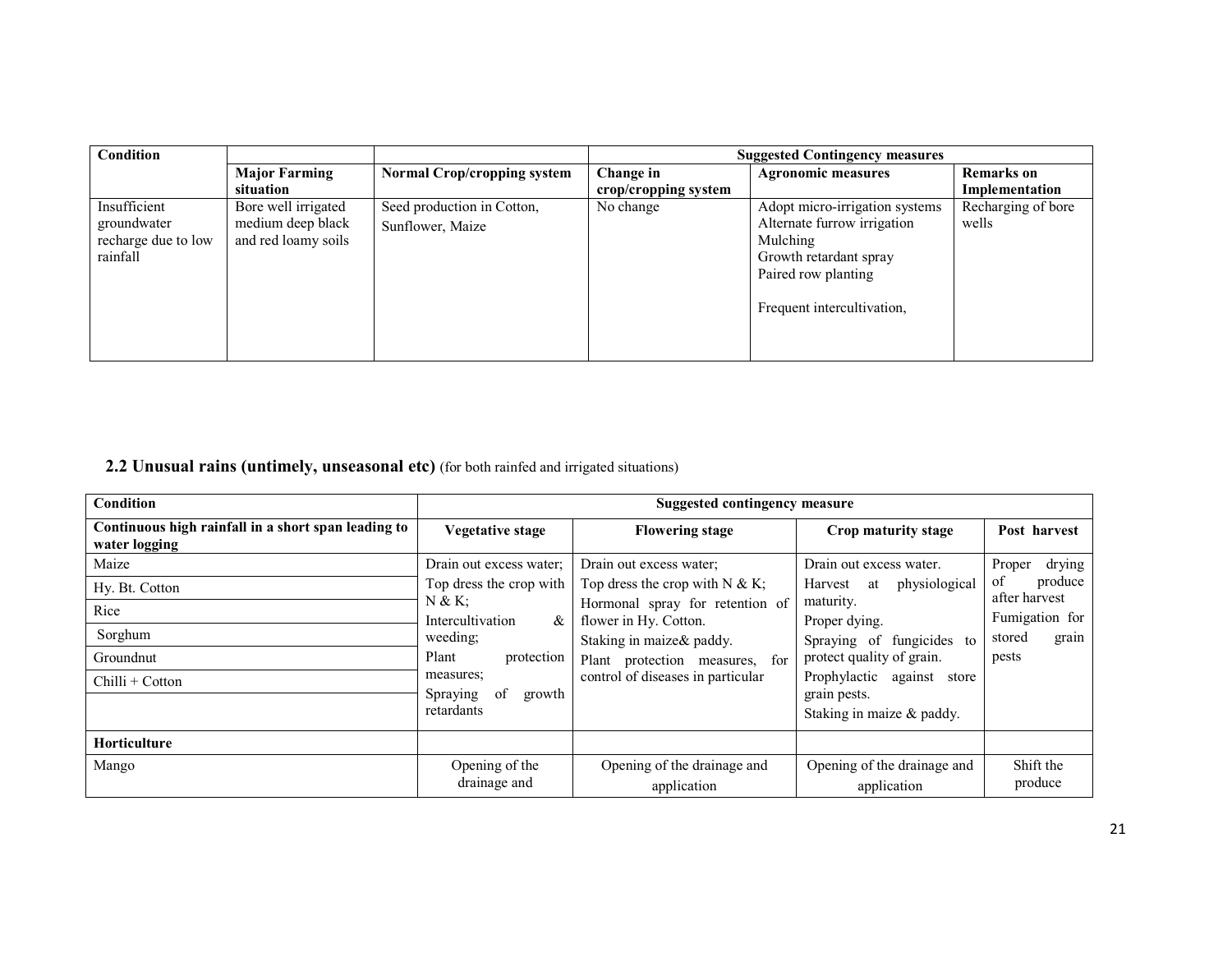| Condition           |                      |                                    |                      | <b>Suggested Contingency measures</b> |                    |
|---------------------|----------------------|------------------------------------|----------------------|---------------------------------------|--------------------|
|                     | <b>Major Farming</b> | <b>Normal Crop/cropping system</b> | Change in            | <b>Agronomic measures</b>             | <b>Remarks</b> on  |
|                     | situation            |                                    | crop/cropping system |                                       | Implementation     |
| Insufficient        | Bore well irrigated  | Seed production in Cotton,         | No change            | Adopt micro-irrigation systems        | Recharging of bore |
| groundwater         | medium deep black    | Sunflower, Maize                   |                      | Alternate furrow irrigation           | wells              |
| recharge due to low | and red loamy soils  |                                    |                      | Mulching                              |                    |
| rainfall            |                      |                                    |                      | Growth retardant spray                |                    |
|                     |                      |                                    |                      | Paired row planting                   |                    |
|                     |                      |                                    |                      |                                       |                    |
|                     |                      |                                    |                      | Frequent intercultivation,            |                    |
|                     |                      |                                    |                      |                                       |                    |
|                     |                      |                                    |                      |                                       |                    |
|                     |                      |                                    |                      |                                       |                    |

2.2 Unusual rains (untimely, unseasonal etc) (for both rainfed and irrigated situations)

| <b>Condition</b>                                                     | <b>Suggested contingency measure</b>  |                                                          |                                            |                                |  |
|----------------------------------------------------------------------|---------------------------------------|----------------------------------------------------------|--------------------------------------------|--------------------------------|--|
| Continuous high rainfall in a short span leading to<br>water logging | Vegetative stage                      | <b>Flowering stage</b>                                   | Crop maturity stage                        | Post harvest                   |  |
| Maize                                                                | Drain out excess water;               | Drain out excess water;                                  | Drain out excess water.                    | drying<br>Proper               |  |
| Hy. Bt. Cotton                                                       | Top dress the crop with               | Top dress the crop with $N \& K$ ;                       | physiological<br>Harvest at                | of<br>produce<br>after harvest |  |
| Rice                                                                 | N & K<br>Intercultivation<br>&        | Hormonal spray for retention of<br>flower in Hy. Cotton. | maturity.<br>Proper dying.                 | Fumigation for                 |  |
| Sorghum                                                              | weeding;                              | Staking in maize& paddy.                                 | Spraying of fungicides to                  | grain<br>stored                |  |
| Groundnut                                                            | Plant<br>protection                   | Plant protection measures, for                           | protect quality of grain.                  | pests                          |  |
| Chilli + Cotton                                                      | measures;<br>Spraying<br>of<br>growth | control of diseases in particular                        | Prophylactic against store<br>grain pests. |                                |  |
| retardants                                                           |                                       | Staking in maize & paddy.                                |                                            |                                |  |
| Horticulture                                                         |                                       |                                                          |                                            |                                |  |
| Mango                                                                | Opening of the<br>drainage and        | Opening of the drainage and<br>application               | Opening of the drainage and<br>application | Shift the<br>produce           |  |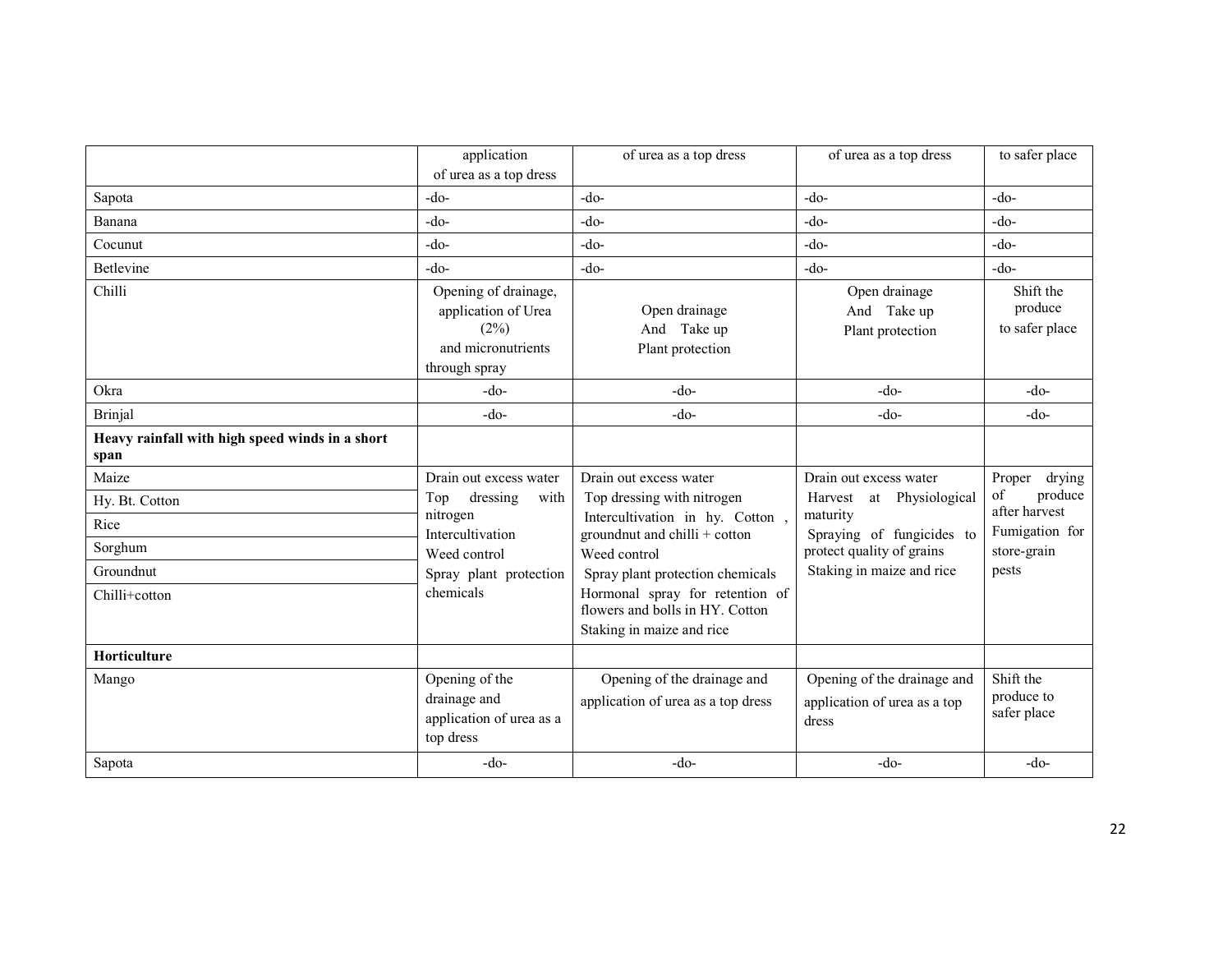|                                                         | application                                                                                | of urea as a top dress                                                                          | of urea as a top dress                                               | to safer place                         |
|---------------------------------------------------------|--------------------------------------------------------------------------------------------|-------------------------------------------------------------------------------------------------|----------------------------------------------------------------------|----------------------------------------|
|                                                         | of urea as a top dress                                                                     |                                                                                                 |                                                                      |                                        |
| Sapota                                                  | $-do-$                                                                                     | $-do-$                                                                                          | $-do-$                                                               | $-do-$                                 |
| Banana                                                  | -do-                                                                                       | $-do-$                                                                                          | $-do-$                                                               | $-do-$                                 |
| Cocunut                                                 | $-do-$                                                                                     | $-do-$                                                                                          | $-do-$                                                               | -do-                                   |
| Betlevine                                               | -do-                                                                                       | $-do-$                                                                                          | $-do-$                                                               | $-do-$                                 |
| Chilli                                                  | Opening of drainage,<br>application of Urea<br>(2%)<br>and micronutrients<br>through spray | Open drainage<br>And Take up<br>Plant protection                                                | Open drainage<br>And Take up<br>Plant protection                     | Shift the<br>produce<br>to safer place |
| Okra                                                    | $-do-$                                                                                     | $-do-$                                                                                          | $-do-$                                                               | $-do-$                                 |
| <b>Brinjal</b>                                          | $-do-$                                                                                     | $-do-$                                                                                          | $-do-$                                                               | $-do-$                                 |
| Heavy rainfall with high speed winds in a short<br>span |                                                                                            |                                                                                                 |                                                                      |                                        |
| Maize                                                   | Drain out excess water                                                                     | Drain out excess water                                                                          | Drain out excess water                                               | Proper drying                          |
| Hy. Bt. Cotton                                          | dressing<br>Top<br>with                                                                    | Top dressing with nitrogen                                                                      | Harvest at Physiological                                             | of<br>produce<br>after harvest         |
| Rice                                                    | nitrogen<br>Intercultivation                                                               | Intercultivation in hy. Cotton,<br>groundnut and chilli + cotton                                | maturity<br>Spraying of fungicides to                                | Fumigation for                         |
| Sorghum                                                 | Weed control                                                                               | Weed control                                                                                    | protect quality of grains                                            | store-grain                            |
| Groundnut                                               | Spray plant protection                                                                     | Spray plant protection chemicals                                                                | Staking in maize and rice                                            | pests                                  |
| Chilli+cotton                                           | chemicals                                                                                  | Hormonal spray for retention of<br>flowers and bolls in HY. Cotton<br>Staking in maize and rice |                                                                      |                                        |
| Horticulture                                            |                                                                                            |                                                                                                 |                                                                      |                                        |
| Mango                                                   | Opening of the<br>drainage and<br>application of urea as a<br>top dress                    | Opening of the drainage and<br>application of urea as a top dress                               | Opening of the drainage and<br>application of urea as a top<br>dress | Shift the<br>produce to<br>safer place |
| Sapota                                                  | $-do-$                                                                                     | $-do-$                                                                                          | $-do-$                                                               | $-do-$                                 |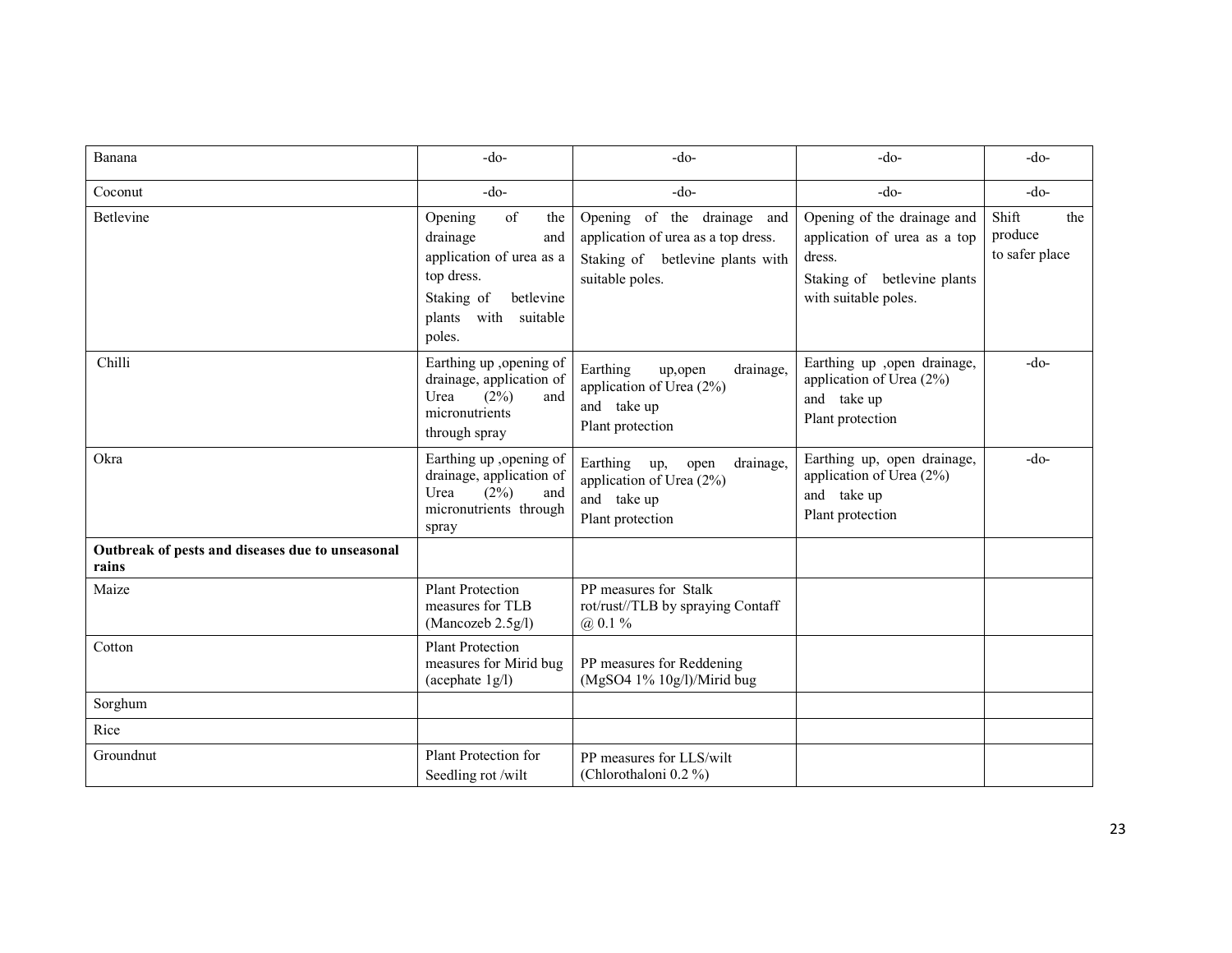| Banana                                                    | $-do-$                                                                                                                                                                | $-do-$                                                                                                                    | $-do-$                                                                                                                       | $-do-$                                    |
|-----------------------------------------------------------|-----------------------------------------------------------------------------------------------------------------------------------------------------------------------|---------------------------------------------------------------------------------------------------------------------------|------------------------------------------------------------------------------------------------------------------------------|-------------------------------------------|
| Coconut                                                   | $-do-$                                                                                                                                                                | $-do-$                                                                                                                    | $-do-$                                                                                                                       | $-do-$                                    |
| Betlevine                                                 | $% \overline{a}$ of<br>Opening<br>the<br>drainage<br>and<br>application of urea as a<br>top dress.<br>Staking of<br>betlevine<br>plants<br>with<br>suitable<br>poles. | Opening of the drainage and<br>application of urea as a top dress.<br>Staking of betlevine plants with<br>suitable poles. | Opening of the drainage and<br>application of urea as a top<br>dress.<br>Staking of betlevine plants<br>with suitable poles. | Shift<br>the<br>produce<br>to safer place |
| Chilli                                                    | Earthing up ,opening of<br>drainage, application of<br>(2%)<br>and<br>Urea<br>micronutrients<br>through spray                                                         | Earthing<br>drainage,<br>up,open<br>application of Urea (2%)<br>and take up<br>Plant protection                           | Earthing up ,open drainage,<br>application of Urea (2%)<br>and take up<br>Plant protection                                   | $-do-$                                    |
| Okra                                                      | Earthing up , opening of<br>drainage, application of<br>(2%)<br>Urea<br>and<br>micronutrients through<br>spray                                                        | Earthing up,<br>drainage.<br>open<br>application of Urea (2%)<br>and take up<br>Plant protection                          | Earthing up, open drainage,<br>application of Urea (2%)<br>and take up<br>Plant protection                                   | $-do-$                                    |
| Outbreak of pests and diseases due to unseasonal<br>rains |                                                                                                                                                                       |                                                                                                                           |                                                                                                                              |                                           |
| Maize                                                     | <b>Plant Protection</b><br>measures for TLB<br>(Mancozeb 2.5g/l)                                                                                                      | PP measures for Stalk<br>rot/rust//TLB by spraying Contaff<br>$@.0.1\%$                                                   |                                                                                                                              |                                           |
| Cotton                                                    | <b>Plant Protection</b><br>measures for Mirid bug<br>(acephate $1g/l$ )                                                                                               | PP measures for Reddening<br>(MgSO4 1% 10g/l)/Mirid bug                                                                   |                                                                                                                              |                                           |
| Sorghum                                                   |                                                                                                                                                                       |                                                                                                                           |                                                                                                                              |                                           |
| Rice                                                      |                                                                                                                                                                       |                                                                                                                           |                                                                                                                              |                                           |
| Groundnut                                                 | Plant Protection for<br>Seedling rot /wilt                                                                                                                            | PP measures for LLS/wilt<br>(Chlorothaloni 0.2 %)                                                                         |                                                                                                                              |                                           |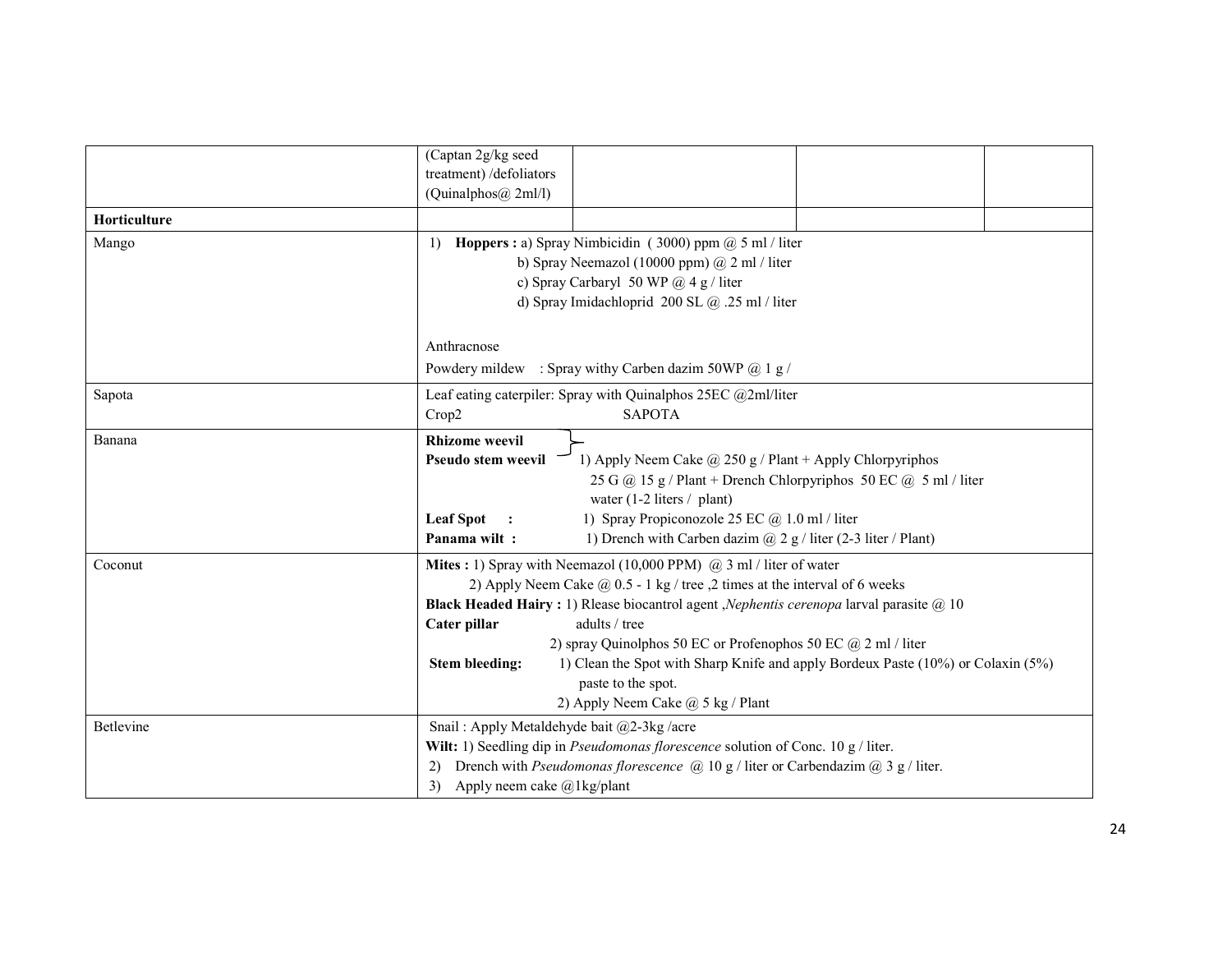| (Captan 2g/kg seed                                                                                              |  |  |  |
|-----------------------------------------------------------------------------------------------------------------|--|--|--|
| treatment) /defoliators<br>(Quinalphos@ 2ml/l)                                                                  |  |  |  |
|                                                                                                                 |  |  |  |
|                                                                                                                 |  |  |  |
| <b>Hoppers</b> : a) Spray Nimbicidin (3000) ppm $\omega$ 5 ml / liter                                           |  |  |  |
| b) Spray Neemazol (10000 ppm) @ 2 ml / liter                                                                    |  |  |  |
| c) Spray Carbaryl 50 WP $@4g/$ liter                                                                            |  |  |  |
| d) Spray Imidachloprid 200 SL @ .25 ml / liter                                                                  |  |  |  |
|                                                                                                                 |  |  |  |
| Powdery mildew : Spray withy Carben dazim 50WP @ 1 g /                                                          |  |  |  |
|                                                                                                                 |  |  |  |
| Leaf eating caterpiler: Spray with Quinalphos 25EC @2ml/liter<br>Crop2                                          |  |  |  |
| <b>SAPOTA</b>                                                                                                   |  |  |  |
| <b>Rhizome</b> weevil                                                                                           |  |  |  |
| 1) Apply Neem Cake $\omega$ 250 g / Plant + Apply Chlorpyriphos<br>Pseudo stem weevil                           |  |  |  |
| 25 G @ 15 g / Plant + Drench Chlorpyriphos 50 EC @ 5 ml / liter                                                 |  |  |  |
| water $(1-2$ liters / plant)                                                                                    |  |  |  |
| 1) Spray Propiconozole 25 EC @ 1.0 ml / liter<br><b>Leaf Spot</b><br>Panama wilt:                               |  |  |  |
| 1) Drench with Carben dazim $(a)$ 2 g / liter (2-3 liter / Plant)                                               |  |  |  |
| Mites: 1) Spray with Neemazol (10,000 PPM) $(a)$ 3 ml / liter of water                                          |  |  |  |
| 2) Apply Neem Cake $\omega$ 0.5 - 1 kg / tree , 2 times at the interval of 6 weeks                              |  |  |  |
| Black Headed Hairy: 1) Rlease biocantrol agent , Nephentis cerenopa larval parasite @ 10<br>adults / tree       |  |  |  |
| 2) spray Quinolphos 50 EC or Profenophos 50 EC $\omega$ 2 ml / liter                                            |  |  |  |
| 1) Clean the Spot with Sharp Knife and apply Bordeux Paste (10%) or Colaxin (5%)<br><b>Stem bleeding:</b>       |  |  |  |
| paste to the spot.                                                                                              |  |  |  |
| 2) Apply Neem Cake @ 5 kg / Plant                                                                               |  |  |  |
| Snail: Apply Metaldehyde bait @2-3kg /acre                                                                      |  |  |  |
| Wilt: 1) Seedling dip in Pseudomonas florescence solution of Conc. 10 g / liter.                                |  |  |  |
| Drench with <i>Pseudomonas florescence</i> ( $\hat{a}$ ) 10 g / liter or Carbendazim ( $\hat{a}$ ) 3 g / liter. |  |  |  |
| Apply neem cake $\omega$ 1 kg/plant                                                                             |  |  |  |
|                                                                                                                 |  |  |  |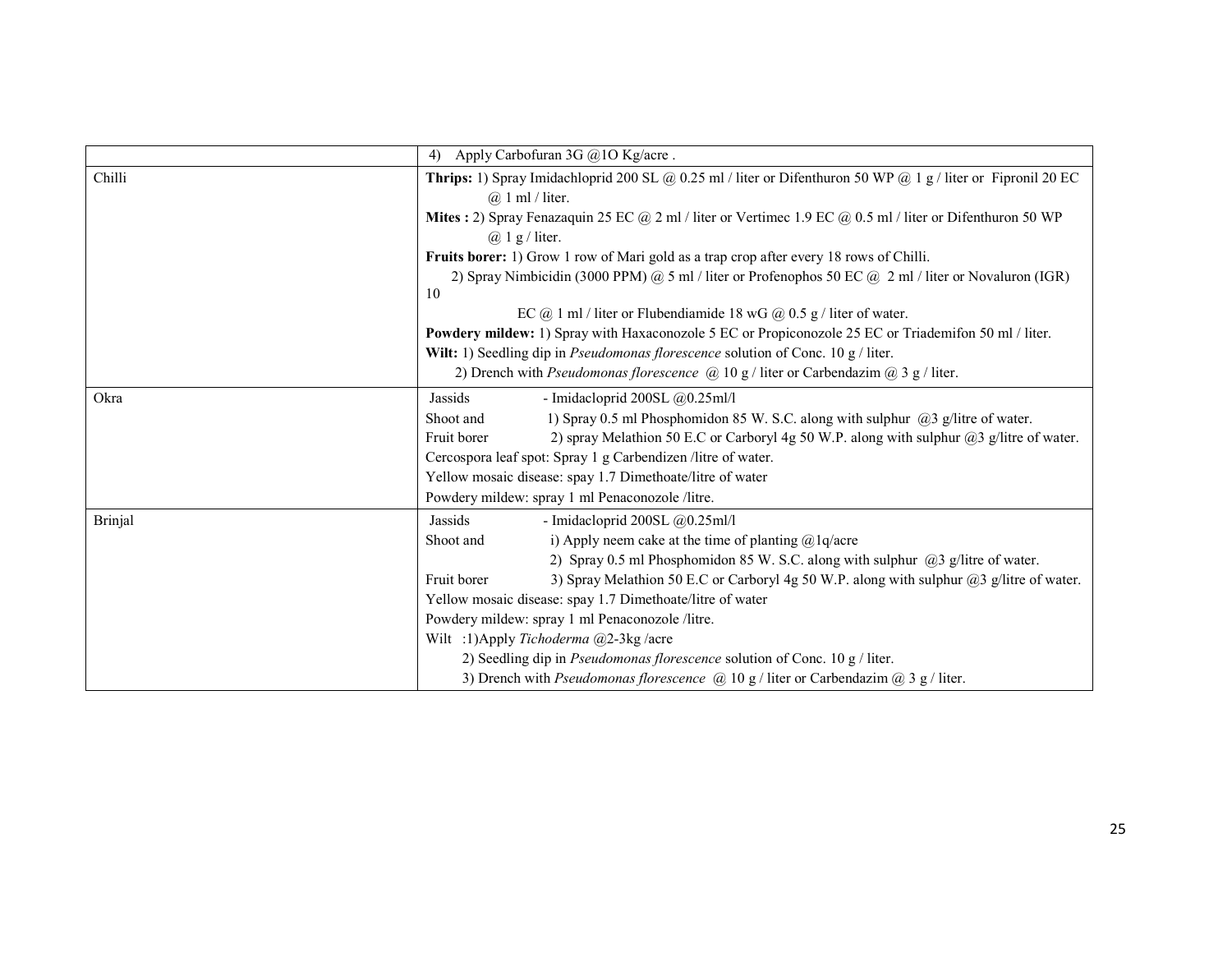|         | Apply Carbofuran 3G @10 Kg/acre.<br>4)                                                                                              |  |  |  |
|---------|-------------------------------------------------------------------------------------------------------------------------------------|--|--|--|
| Chilli  | Thrips: 1) Spray Imidachloprid 200 SL @ 0.25 ml / liter or Difenthuron 50 WP @ 1 g / liter or Fipronil 20 EC<br>$(a)$ 1 ml / liter. |  |  |  |
|         | Mites : 2) Spray Fenazaquin 25 EC @ 2 ml / liter or Vertimec 1.9 EC @ 0.5 ml / liter or Difenthuron 50 WP                           |  |  |  |
|         | $(a)$ 1 g / liter.                                                                                                                  |  |  |  |
|         | Fruits borer: 1) Grow 1 row of Mari gold as a trap crop after every 18 rows of Chilli.                                              |  |  |  |
|         | 2) Spray Nimbicidin (3000 PPM) @ 5 ml / liter or Profenophos 50 EC @ 2 ml / liter or Novaluron (IGR)<br>10                          |  |  |  |
|         | EC @ 1 ml / liter or Flubendiamide 18 wG @ $0.5$ g / liter of water.                                                                |  |  |  |
|         | Powdery mildew: 1) Spray with Haxaconozole 5 EC or Propiconozole 25 EC or Triademifon 50 ml / liter.                                |  |  |  |
|         | Wilt: 1) Seedling dip in <i>Pseudomonas florescence</i> solution of Conc. 10 g / liter.                                             |  |  |  |
|         | 2) Drench with Pseudomonas florescence $\omega$ 10 g / liter or Carbendazim $\omega$ 3 g / liter.                                   |  |  |  |
| Okra    | Jassids<br>- Imidacloprid 200SL $@0.25$ ml/l                                                                                        |  |  |  |
|         | 1) Spray 0.5 ml Phosphomidon 85 W. S.C. along with sulphur $(2)$ g/litre of water.<br>Shoot and                                     |  |  |  |
|         | Fruit borer<br>2) spray Melathion 50 E.C or Carboryl 4g 50 W.P. along with sulphur @3 g/litre of water.                             |  |  |  |
|         | Cercospora leaf spot: Spray 1 g Carbendizen /litre of water.                                                                        |  |  |  |
|         | Yellow mosaic disease: spay 1.7 Dimethoate/litre of water                                                                           |  |  |  |
|         | Powdery mildew: spray 1 ml Penaconozole /litre.                                                                                     |  |  |  |
| Brinjal | Jassids<br>- Imidacloprid 200SL $@0.25$ ml/l                                                                                        |  |  |  |
|         | i) Apply neem cake at the time of planting $@1q/a$ cre<br>Shoot and                                                                 |  |  |  |
|         | 2) Spray 0.5 ml Phosphomidon 85 W. S.C. along with sulphur $(2)$ g/litre of water.                                                  |  |  |  |
|         | Fruit borer<br>3) Spray Melathion 50 E.C or Carboryl 4g 50 W.P. along with sulphur $(a)$ 3 g/litre of water.                        |  |  |  |
|         | Yellow mosaic disease: spay 1.7 Dimethoate/litre of water                                                                           |  |  |  |
|         | Powdery mildew: spray 1 ml Penaconozole /litre.                                                                                     |  |  |  |
|         | Wilt :1)Apply Tichoderma @2-3kg/acre                                                                                                |  |  |  |
|         | 2) Seedling dip in Pseudomonas florescence solution of Conc. 10 g / liter.                                                          |  |  |  |
|         | 3) Drench with <i>Pseudomonas florescence</i> $\omega$ 10 g / liter or Carbendazim $\omega$ 3 g / liter.                            |  |  |  |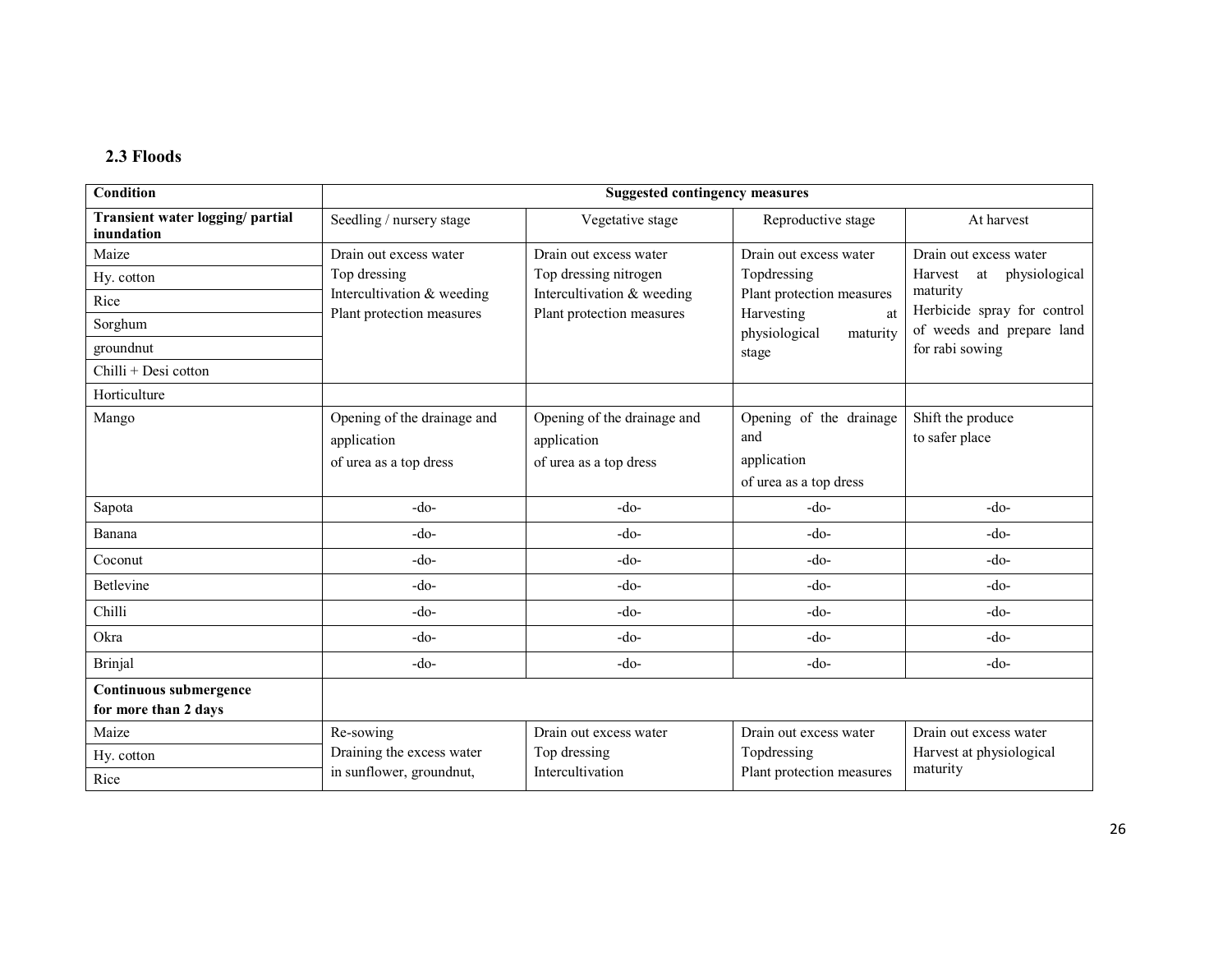#### 2.3 Floods

| Condition                                      | <b>Suggested contingency measures</b>                                |                                                                      |                                               |                                         |
|------------------------------------------------|----------------------------------------------------------------------|----------------------------------------------------------------------|-----------------------------------------------|-----------------------------------------|
| Transient water logging/partial<br>inundation  | Seedling / nursery stage                                             | Vegetative stage                                                     | Reproductive stage                            | At harvest                              |
| Maize                                          | Drain out excess water                                               | Drain out excess water                                               | Drain out excess water                        | Drain out excess water                  |
| Hy. cotton                                     | Top dressing                                                         | Top dressing nitrogen                                                | Topdressing                                   | physiological<br>Harvest<br>at          |
| Rice                                           | Intercultivation & weeding                                           | Intercultivation & weeding                                           | Plant protection measures                     | maturity<br>Herbicide spray for control |
| Sorghum                                        | Plant protection measures                                            | Plant protection measures                                            | Harvesting<br>at<br>physiological<br>maturity | of weeds and prepare land               |
| groundnut                                      |                                                                      |                                                                      | stage                                         | for rabi sowing                         |
| Chilli + Desi cotton                           |                                                                      |                                                                      |                                               |                                         |
| Horticulture                                   |                                                                      |                                                                      |                                               |                                         |
| Mango                                          | Opening of the drainage and<br>application<br>of urea as a top dress | Opening of the drainage and<br>application<br>of urea as a top dress | Opening of the drainage<br>and<br>application | Shift the produce<br>to safer place     |
|                                                |                                                                      |                                                                      | of urea as a top dress                        |                                         |
| Sapota                                         | $-do-$                                                               | $-do-$                                                               | $-do-$                                        | $-do-$                                  |
| Banana                                         | -do-                                                                 | $-do-$                                                               | $-do-$                                        | $-do-$                                  |
| Coconut                                        | $-do-$                                                               | $-do-$                                                               | $-do-$                                        | $-do-$                                  |
| Betlevine                                      | $-do-$                                                               | $-do-$                                                               | $-do-$                                        | $-do-$                                  |
| Chilli                                         | $-do-$                                                               | $-do-$                                                               | $-do-$                                        | $-do-$                                  |
| Okra                                           | $-do-$                                                               | $-do-$                                                               | $-do-$                                        | $-do-$                                  |
| <b>Brinjal</b>                                 | $-do-$                                                               | $-do-$                                                               | $-do-$                                        | $-do-$                                  |
| Continuous submergence<br>for more than 2 days |                                                                      |                                                                      |                                               |                                         |
| Maize                                          | Re-sowing                                                            | Drain out excess water                                               | Drain out excess water                        | Drain out excess water                  |
| Hy. cotton                                     | Draining the excess water                                            | Top dressing                                                         | Topdressing                                   | Harvest at physiological                |
| Rice                                           | in sunflower, groundnut,                                             | Intercultivation                                                     | Plant protection measures                     | maturity                                |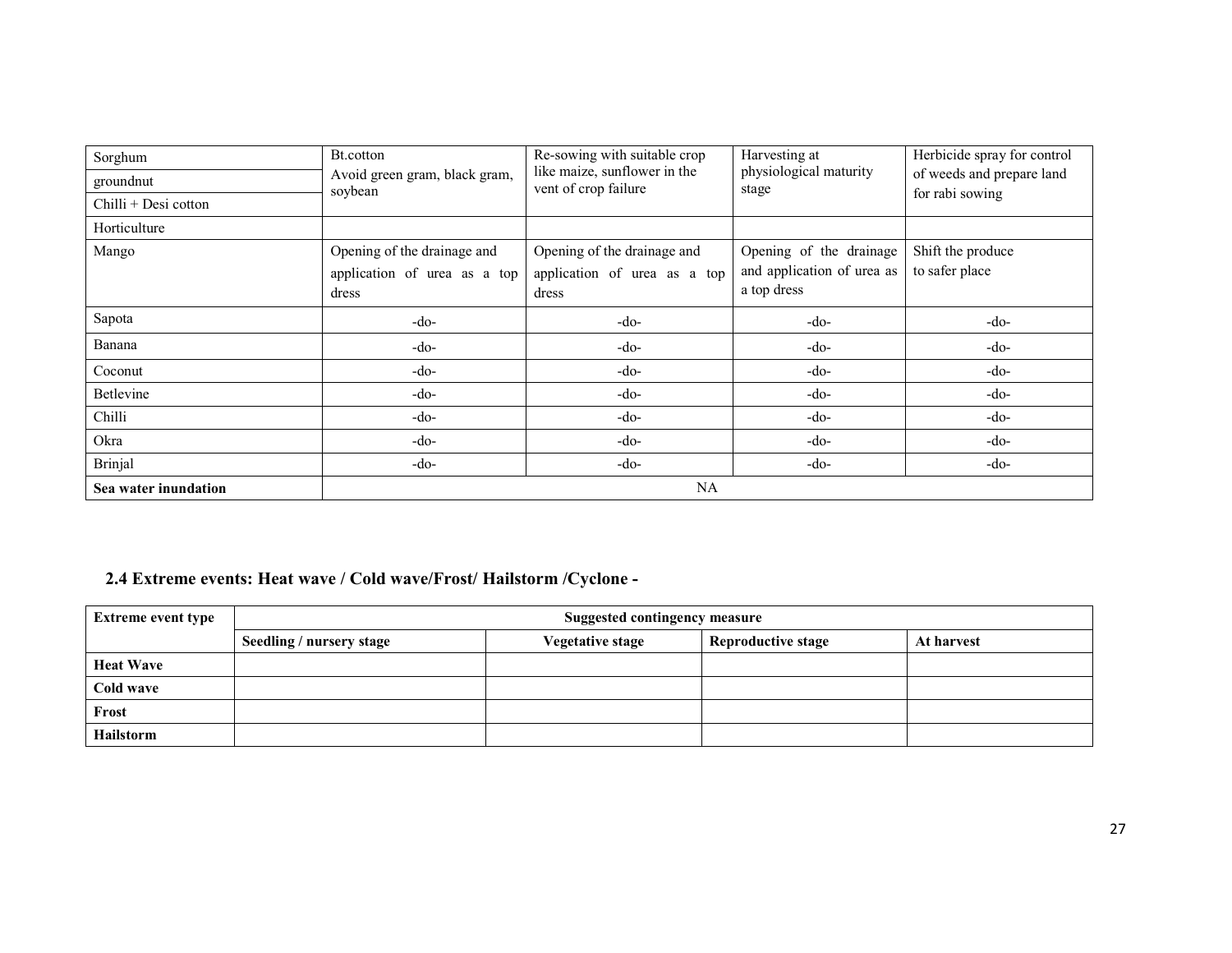| Sorghum              | Bt.cotton                                | Re-sowing with suitable crop                         | Harvesting at                   | Herbicide spray for control |
|----------------------|------------------------------------------|------------------------------------------------------|---------------------------------|-----------------------------|
| groundnut            | Avoid green gram, black gram,<br>soybean | like maize, sunflower in the<br>vent of crop failure | physiological maturity<br>stage | of weeds and prepare land   |
| Chilli + Desi cotton |                                          |                                                      |                                 | for rabi sowing             |
| Horticulture         |                                          |                                                      |                                 |                             |
| Mango                | Opening of the drainage and              | Opening of the drainage and                          | Opening of the drainage         | Shift the produce           |
|                      | application of urea as a top             | application of urea as a top                         | and application of urea as      | to safer place              |
|                      | dress                                    | dress                                                | a top dress                     |                             |
| Sapota               | $-do-$                                   | $-do-$                                               | $-do-$                          | $-do-$                      |
| Banana               | $-do-$                                   | $-do-$                                               | $-do-$                          | $-do-$                      |
| Coconut              | -do-                                     | -do-                                                 | $-do-$                          | $-do-$                      |
| <b>Betlevine</b>     | $-do-$                                   | -do-                                                 | $-do-$                          | $-do-$                      |
| Chilli               | -do-                                     | $-do-$                                               | $-do-$                          | $-do-$                      |
| Okra                 | $-do-$                                   | $-do-$                                               | $-do-$                          | $-do-$                      |
| <b>Brinjal</b>       | $-do-$                                   | $-do-$                                               | $-do-$                          | $-do-$                      |
| Sea water inundation | NA                                       |                                                      |                                 |                             |

## 2.4 Extreme events: Heat wave / Cold wave/Frost/ Hailstorm /Cyclone -

| <b>Extreme event type</b> | <b>Suggested contingency measure</b> |                         |                           |            |
|---------------------------|--------------------------------------|-------------------------|---------------------------|------------|
|                           | Seedling / nursery stage             | <b>Vegetative stage</b> | <b>Reproductive stage</b> | At harvest |
| <b>Heat Wave</b>          |                                      |                         |                           |            |
| Cold wave                 |                                      |                         |                           |            |
| Frost                     |                                      |                         |                           |            |
| <b>Hailstorm</b>          |                                      |                         |                           |            |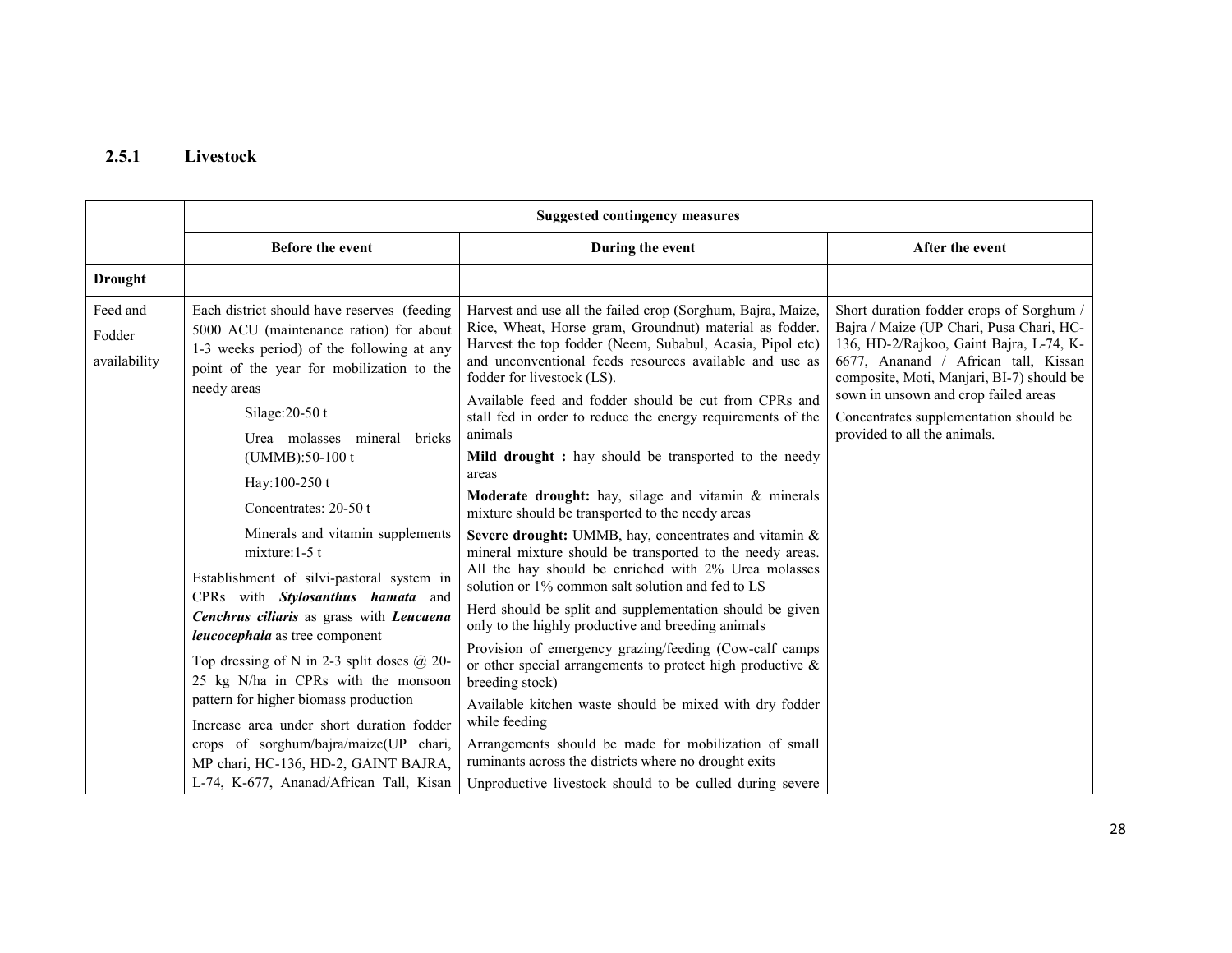## 2.5.1 Livestock

| <b>Suggested contingency measures</b>                                                                                                                                                                                                                                                                                                                                                                                                                                                                                                                                                                                                                                                                                                                                                                      |                                                                                                                                                                                                                                                                                                                                                                                                                                                                                                                                                                                                                                                                                                                                                                                                                                                                                                                                                                                                                                                                                                                                                                                                                                                                                                          |                                                                                                                                                                                                                                                                                                                                        |
|------------------------------------------------------------------------------------------------------------------------------------------------------------------------------------------------------------------------------------------------------------------------------------------------------------------------------------------------------------------------------------------------------------------------------------------------------------------------------------------------------------------------------------------------------------------------------------------------------------------------------------------------------------------------------------------------------------------------------------------------------------------------------------------------------------|----------------------------------------------------------------------------------------------------------------------------------------------------------------------------------------------------------------------------------------------------------------------------------------------------------------------------------------------------------------------------------------------------------------------------------------------------------------------------------------------------------------------------------------------------------------------------------------------------------------------------------------------------------------------------------------------------------------------------------------------------------------------------------------------------------------------------------------------------------------------------------------------------------------------------------------------------------------------------------------------------------------------------------------------------------------------------------------------------------------------------------------------------------------------------------------------------------------------------------------------------------------------------------------------------------|----------------------------------------------------------------------------------------------------------------------------------------------------------------------------------------------------------------------------------------------------------------------------------------------------------------------------------------|
| <b>Before the event</b>                                                                                                                                                                                                                                                                                                                                                                                                                                                                                                                                                                                                                                                                                                                                                                                    | During the event                                                                                                                                                                                                                                                                                                                                                                                                                                                                                                                                                                                                                                                                                                                                                                                                                                                                                                                                                                                                                                                                                                                                                                                                                                                                                         | After the event                                                                                                                                                                                                                                                                                                                        |
|                                                                                                                                                                                                                                                                                                                                                                                                                                                                                                                                                                                                                                                                                                                                                                                                            |                                                                                                                                                                                                                                                                                                                                                                                                                                                                                                                                                                                                                                                                                                                                                                                                                                                                                                                                                                                                                                                                                                                                                                                                                                                                                                          |                                                                                                                                                                                                                                                                                                                                        |
| Each district should have reserves (feeding<br>5000 ACU (maintenance ration) for about<br>1-3 weeks period) of the following at any<br>point of the year for mobilization to the<br>needy areas<br>Silage: $20-50t$<br>Urea molasses mineral<br>bricks<br>(UMMB):50-100 t<br>Hay:100-250 t<br>Concentrates: 20-50 t<br>Minerals and vitamin supplements<br>mixture: $1-5$ t<br>Establishment of silvi-pastoral system in<br>CPRs with Stylosanthus hamata and<br>Cenchrus ciliaris as grass with Leucaena<br>leucocephala as tree component<br>Top dressing of N in 2-3 split doses $@$ 20-<br>25 kg N/ha in CPRs with the monsoon<br>pattern for higher biomass production<br>Increase area under short duration fodder<br>crops of sorghum/bajra/maize(UP chari,<br>MP chari, HC-136, HD-2, GAINT BAJRA, | Harvest and use all the failed crop (Sorghum, Bajra, Maize,<br>Rice, Wheat, Horse gram, Groundnut) material as fodder.<br>Harvest the top fodder (Neem, Subabul, Acasia, Pipol etc)<br>and unconventional feeds resources available and use as<br>fodder for livestock (LS).<br>Available feed and fodder should be cut from CPRs and<br>stall fed in order to reduce the energy requirements of the<br>animals<br>Mild drought : hay should be transported to the needy<br>areas<br><b>Moderate drought:</b> hay, silage and vitamin $\&$ minerals<br>mixture should be transported to the needy areas<br>Severe drought: UMMB, hay, concentrates and vitamin &<br>mineral mixture should be transported to the needy areas.<br>All the hay should be enriched with 2% Urea molasses<br>solution or 1% common salt solution and fed to LS<br>Herd should be split and supplementation should be given<br>only to the highly productive and breeding animals<br>Provision of emergency grazing/feeding (Cow-calf camps<br>or other special arrangements to protect high productive $\&$<br>breeding stock)<br>Available kitchen waste should be mixed with dry fodder<br>while feeding<br>Arrangements should be made for mobilization of small<br>ruminants across the districts where no drought exits | Short duration fodder crops of Sorghum /<br>Bajra / Maize (UP Chari, Pusa Chari, HC-<br>136, HD-2/Rajkoo, Gaint Bajra, L-74, K-<br>6677, Ananand / African tall, Kissan<br>composite, Moti, Manjari, BI-7) should be<br>sown in unsown and crop failed areas<br>Concentrates supplementation should be<br>provided to all the animals. |
|                                                                                                                                                                                                                                                                                                                                                                                                                                                                                                                                                                                                                                                                                                                                                                                                            | L-74, K-677, Ananad/African Tall, Kisan                                                                                                                                                                                                                                                                                                                                                                                                                                                                                                                                                                                                                                                                                                                                                                                                                                                                                                                                                                                                                                                                                                                                                                                                                                                                  | Unproductive livestock should to be culled during severe                                                                                                                                                                                                                                                                               |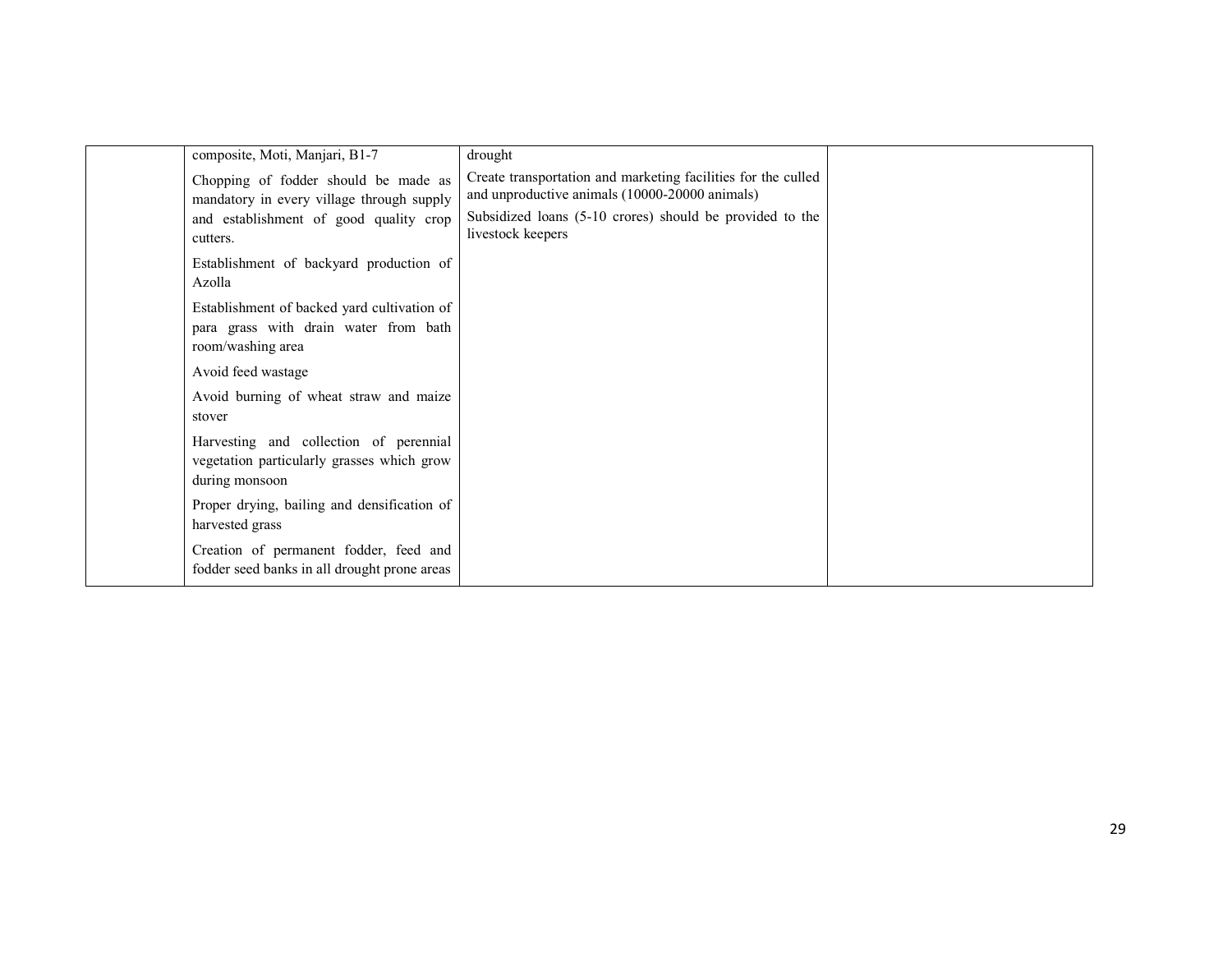| composite, Moti, Manjari, B1-7                                                                            | drought                                                                                                         |  |
|-----------------------------------------------------------------------------------------------------------|-----------------------------------------------------------------------------------------------------------------|--|
| Chopping of fodder should be made as<br>mandatory in every village through supply                         | Create transportation and marketing facilities for the culled<br>and unproductive animals (10000-20000 animals) |  |
| and establishment of good quality crop<br>cutters.                                                        | Subsidized loans (5-10 crores) should be provided to the<br>livestock keepers                                   |  |
| Establishment of backyard production of<br>Azolla                                                         |                                                                                                                 |  |
| Establishment of backed yard cultivation of<br>para grass with drain water from bath<br>room/washing area |                                                                                                                 |  |
| Avoid feed wastage                                                                                        |                                                                                                                 |  |
| Avoid burning of wheat straw and maize<br>stover                                                          |                                                                                                                 |  |
| Harvesting and collection of perennial<br>vegetation particularly grasses which grow<br>during monsoon    |                                                                                                                 |  |
| Proper drying, bailing and densification of<br>harvested grass                                            |                                                                                                                 |  |
| Creation of permanent fodder, feed and<br>fodder seed banks in all drought prone areas                    |                                                                                                                 |  |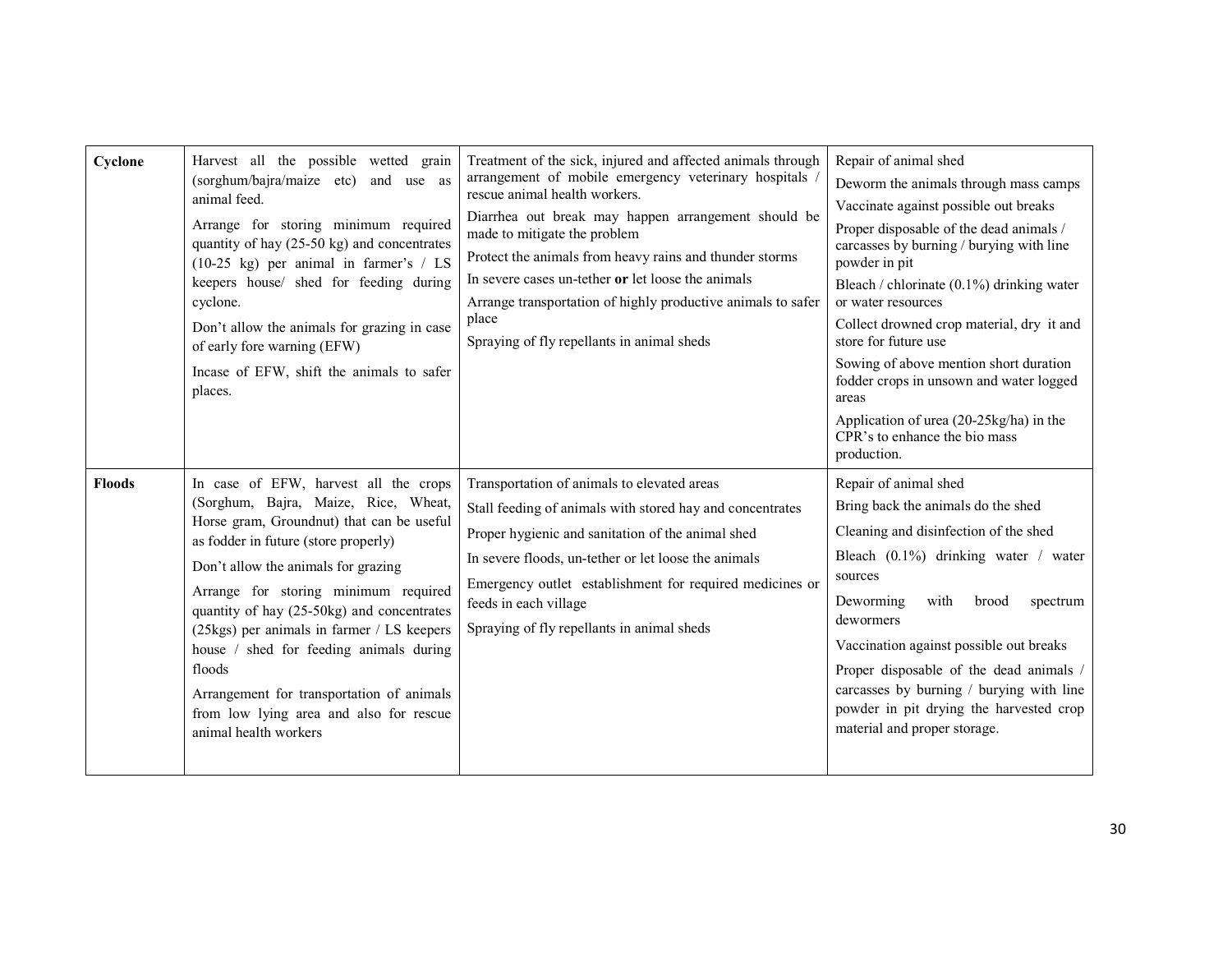| Cyclone       | Harvest all the possible wetted grain<br>(sorghum/bajra/maize etc)<br>and use as<br>animal feed.<br>Arrange for storing minimum required<br>quantity of hay (25-50 kg) and concentrates<br>$(10-25 \text{ kg})$ per animal in farmer's / LS<br>keepers house/ shed for feeding during<br>cyclone.<br>Don't allow the animals for grazing in case<br>of early fore warning (EFW)<br>Incase of EFW, shift the animals to safer<br>places.                                                                             | Treatment of the sick, injured and affected animals through<br>arrangement of mobile emergency veterinary hospitals<br>rescue animal health workers.<br>Diarrhea out break may happen arrangement should be<br>made to mitigate the problem<br>Protect the animals from heavy rains and thunder storms<br>In severe cases un-tether or let loose the animals<br>Arrange transportation of highly productive animals to safer<br>place<br>Spraying of fly repellants in animal sheds | Repair of animal shed<br>Deworm the animals through mass camps<br>Vaccinate against possible out breaks<br>Proper disposable of the dead animals /<br>carcasses by burning / burying with line<br>powder in pit<br>Bleach / chlorinate $(0.1\%)$ drinking water<br>or water resources<br>Collect drowned crop material, dry it and<br>store for future use<br>Sowing of above mention short duration<br>fodder crops in unsown and water logged<br>areas<br>Application of urea (20-25kg/ha) in the<br>CPR's to enhance the bio mass<br>production. |
|---------------|---------------------------------------------------------------------------------------------------------------------------------------------------------------------------------------------------------------------------------------------------------------------------------------------------------------------------------------------------------------------------------------------------------------------------------------------------------------------------------------------------------------------|-------------------------------------------------------------------------------------------------------------------------------------------------------------------------------------------------------------------------------------------------------------------------------------------------------------------------------------------------------------------------------------------------------------------------------------------------------------------------------------|-----------------------------------------------------------------------------------------------------------------------------------------------------------------------------------------------------------------------------------------------------------------------------------------------------------------------------------------------------------------------------------------------------------------------------------------------------------------------------------------------------------------------------------------------------|
| <b>Floods</b> | In case of EFW, harvest all the crops<br>(Sorghum, Bajra, Maize, Rice, Wheat,<br>Horse gram, Groundnut) that can be useful<br>as fodder in future (store properly)<br>Don't allow the animals for grazing<br>Arrange for storing minimum required<br>quantity of hay (25-50kg) and concentrates<br>(25kgs) per animals in farmer / LS keepers<br>house / shed for feeding animals during<br>floods<br>Arrangement for transportation of animals<br>from low lying area and also for rescue<br>animal health workers | Transportation of animals to elevated areas<br>Stall feeding of animals with stored hay and concentrates<br>Proper hygienic and sanitation of the animal shed<br>In severe floods, un-tether or let loose the animals<br>Emergency outlet establishment for required medicines or<br>feeds in each village<br>Spraying of fly repellants in animal sheds                                                                                                                            | Repair of animal shed<br>Bring back the animals do the shed<br>Cleaning and disinfection of the shed<br>Bleach (0.1%) drinking water / water<br>sources<br>Deworming<br>with<br>brood<br>spectrum<br>dewormers<br>Vaccination against possible out breaks<br>Proper disposable of the dead animals /<br>carcasses by burning / burying with line<br>powder in pit drying the harvested crop<br>material and proper storage.                                                                                                                         |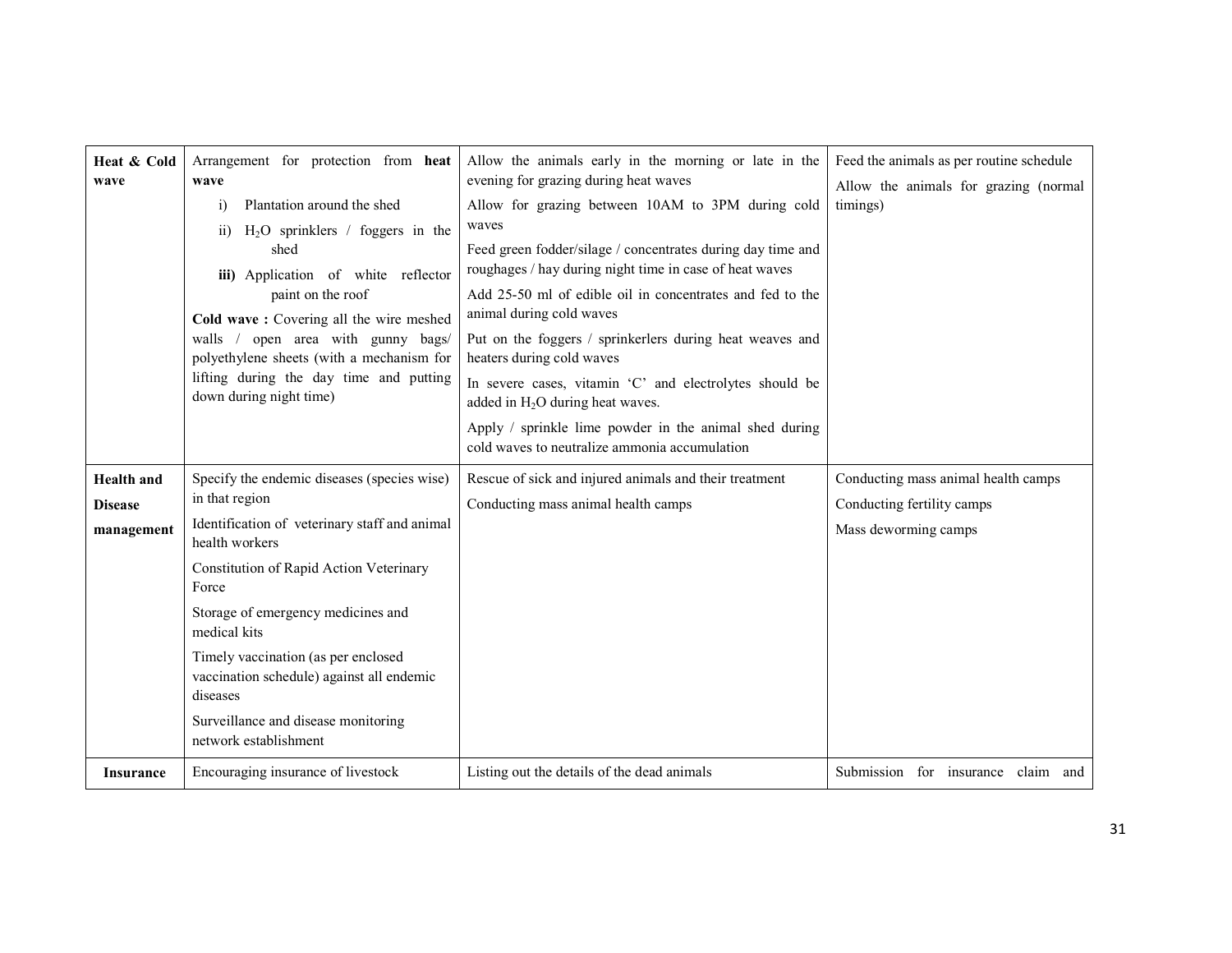| Heat & Cold<br>wave                               | Arrangement for protection from heat<br>wave<br>Plantation around the shed<br>$\ddot{1}$<br>$H_2O$ sprinklers / foggers in the<br>$\overline{ii}$<br>shed<br>iii) Application of white reflector<br>paint on the roof<br>Cold wave: Covering all the wire meshed<br>walls / open area with gunny bags/<br>polyethylene sheets (with a mechanism for<br>lifting during the day time and putting<br>down during night time) | Allow the animals early in the morning or late in the<br>evening for grazing during heat waves<br>Allow for grazing between 10AM to 3PM during cold<br>waves<br>Feed green fodder/silage / concentrates during day time and<br>roughages / hay during night time in case of heat waves<br>Add 25-50 ml of edible oil in concentrates and fed to the<br>animal during cold waves<br>Put on the foggers / sprinkerlers during heat weaves and<br>heaters during cold waves<br>In severe cases, vitamin 'C' and electrolytes should be<br>added in H <sub>2</sub> O during heat waves.<br>Apply / sprinkle lime powder in the animal shed during<br>cold waves to neutralize ammonia accumulation | Feed the animals as per routine schedule<br>Allow the animals for grazing (normal<br>timings) |
|---------------------------------------------------|---------------------------------------------------------------------------------------------------------------------------------------------------------------------------------------------------------------------------------------------------------------------------------------------------------------------------------------------------------------------------------------------------------------------------|------------------------------------------------------------------------------------------------------------------------------------------------------------------------------------------------------------------------------------------------------------------------------------------------------------------------------------------------------------------------------------------------------------------------------------------------------------------------------------------------------------------------------------------------------------------------------------------------------------------------------------------------------------------------------------------------|-----------------------------------------------------------------------------------------------|
| <b>Health and</b><br><b>Disease</b><br>management | Specify the endemic diseases (species wise)<br>in that region<br>Identification of veterinary staff and animal<br>health workers<br>Constitution of Rapid Action Veterinary<br>Force<br>Storage of emergency medicines and<br>medical kits<br>Timely vaccination (as per enclosed<br>vaccination schedule) against all endemic<br>diseases<br>Surveillance and disease monitoring<br>network establishment                | Rescue of sick and injured animals and their treatment<br>Conducting mass animal health camps                                                                                                                                                                                                                                                                                                                                                                                                                                                                                                                                                                                                  | Conducting mass animal health camps<br>Conducting fertility camps<br>Mass deworming camps     |
| Insurance                                         | Encouraging insurance of livestock                                                                                                                                                                                                                                                                                                                                                                                        | Listing out the details of the dead animals                                                                                                                                                                                                                                                                                                                                                                                                                                                                                                                                                                                                                                                    | Submission<br>for insurance claim<br>and                                                      |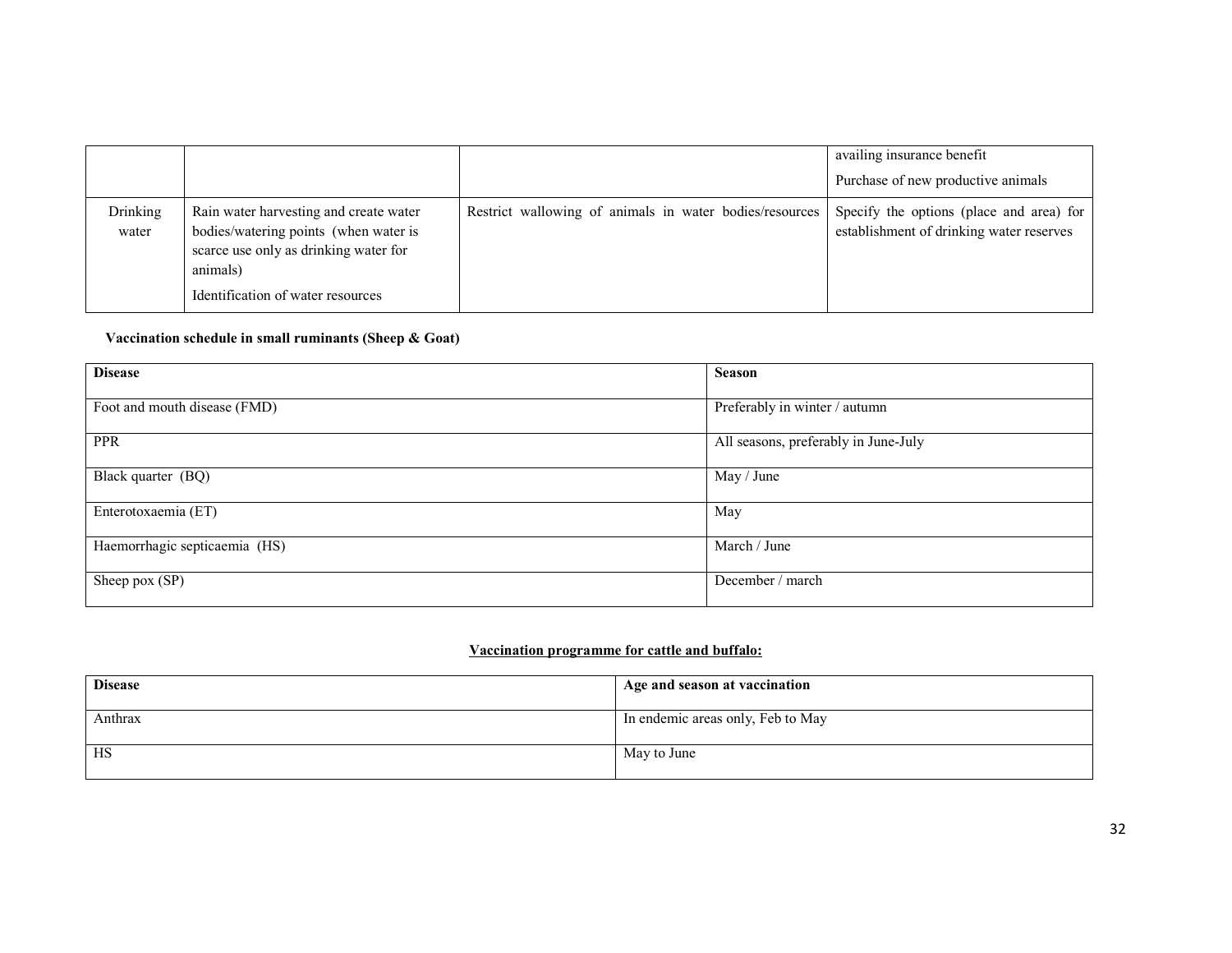|                   |                                                                                                                                                                           |                                                         | availing insurance benefit<br>Purchase of new productive animals                     |
|-------------------|---------------------------------------------------------------------------------------------------------------------------------------------------------------------------|---------------------------------------------------------|--------------------------------------------------------------------------------------|
| Drinking<br>water | Rain water harvesting and create water<br>bodies/watering points (when water is<br>scarce use only as drinking water for<br>animals)<br>Identification of water resources | Restrict wallowing of animals in water bodies/resources | Specify the options (place and area) for<br>establishment of drinking water reserves |

#### Vaccination schedule in small ruminants (Sheep & Goat)

| <b>Disease</b>                | <b>Season</b>                        |
|-------------------------------|--------------------------------------|
|                               |                                      |
| Foot and mouth disease (FMD)  | Preferably in winter / autumn        |
| <b>PPR</b>                    | All seasons, preferably in June-July |
| Black quarter (BQ)            | May / June                           |
| Enterotoxaemia (ET)           | May                                  |
| Haemorrhagic septicaemia (HS) | March / June                         |
| Sheep pox (SP)                | December / march                     |

#### Vaccination programme for cattle and buffalo:

| <b>Disease</b> | Age and season at vaccination     |
|----------------|-----------------------------------|
| Anthrax        | In endemic areas only, Feb to May |
| HS             | May to June                       |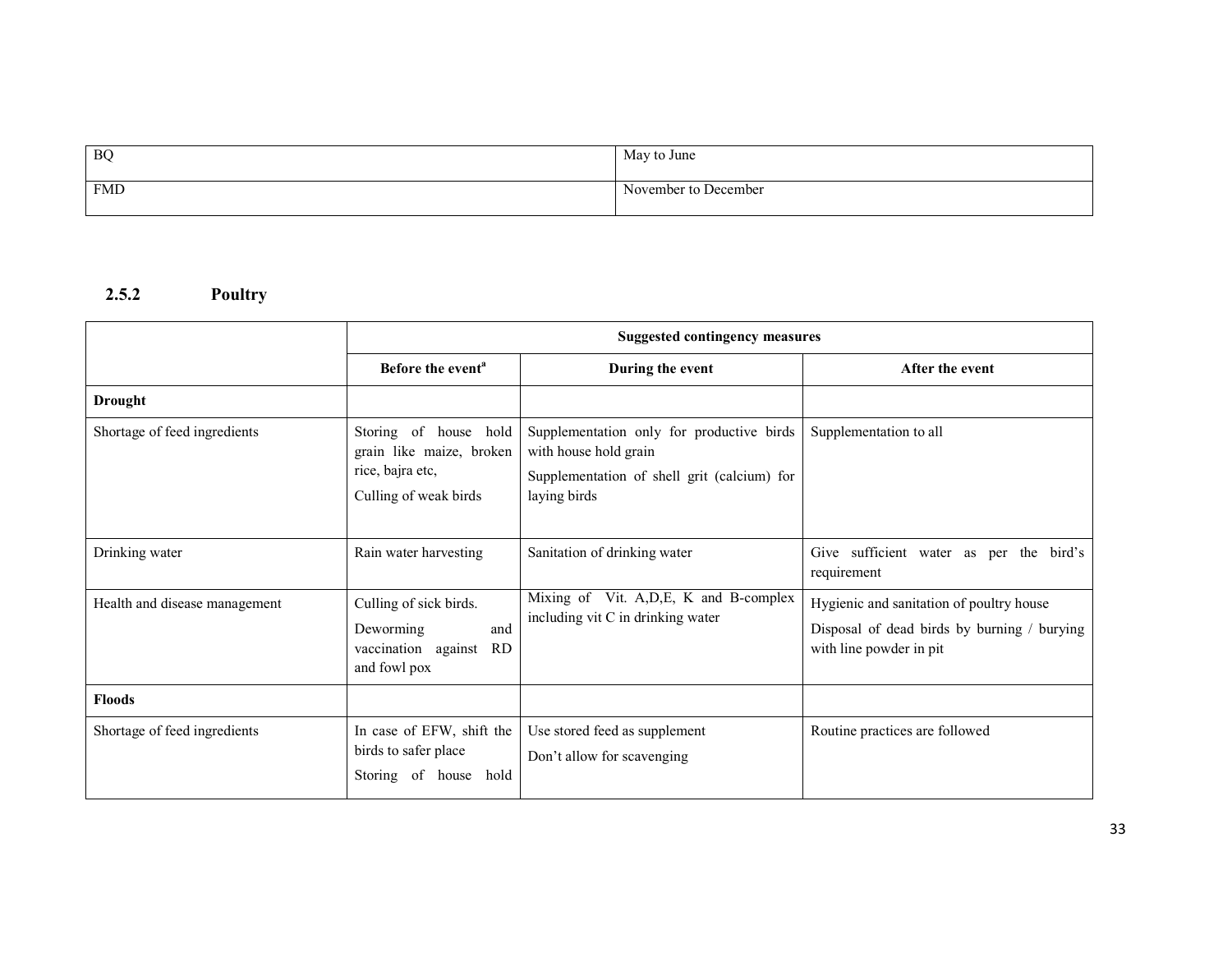| BQ         | May to June          |
|------------|----------------------|
| <b>FMD</b> | November to December |

## 2.5.2 Poultry

|                               | <b>Suggested contingency measures</b>                                                          |                                                                                                                                   |                                                                                                                    |
|-------------------------------|------------------------------------------------------------------------------------------------|-----------------------------------------------------------------------------------------------------------------------------------|--------------------------------------------------------------------------------------------------------------------|
|                               | Before the event <sup>a</sup>                                                                  | During the event                                                                                                                  | After the event                                                                                                    |
| <b>Drought</b>                |                                                                                                |                                                                                                                                   |                                                                                                                    |
| Shortage of feed ingredients  | Storing of house hold<br>grain like maize, broken<br>rice, bajra etc,<br>Culling of weak birds | Supplementation only for productive birds<br>with house hold grain<br>Supplementation of shell grit (calcium) for<br>laying birds | Supplementation to all                                                                                             |
| Drinking water                | Rain water harvesting                                                                          | Sanitation of drinking water                                                                                                      | Give sufficient water as per the bird's<br>requirement                                                             |
| Health and disease management | Culling of sick birds.<br>Deworming<br>and<br>vaccination against<br><b>RD</b><br>and fowl pox | Mixing of Vit. A, D, E, K and B-complex<br>including vit C in drinking water                                                      | Hygienic and sanitation of poultry house<br>Disposal of dead birds by burning / burying<br>with line powder in pit |
| <b>Floods</b>                 |                                                                                                |                                                                                                                                   |                                                                                                                    |
| Shortage of feed ingredients  | In case of EFW, shift the<br>birds to safer place<br>hold<br>Storing<br>of<br>house            | Use stored feed as supplement<br>Don't allow for scavenging                                                                       | Routine practices are followed                                                                                     |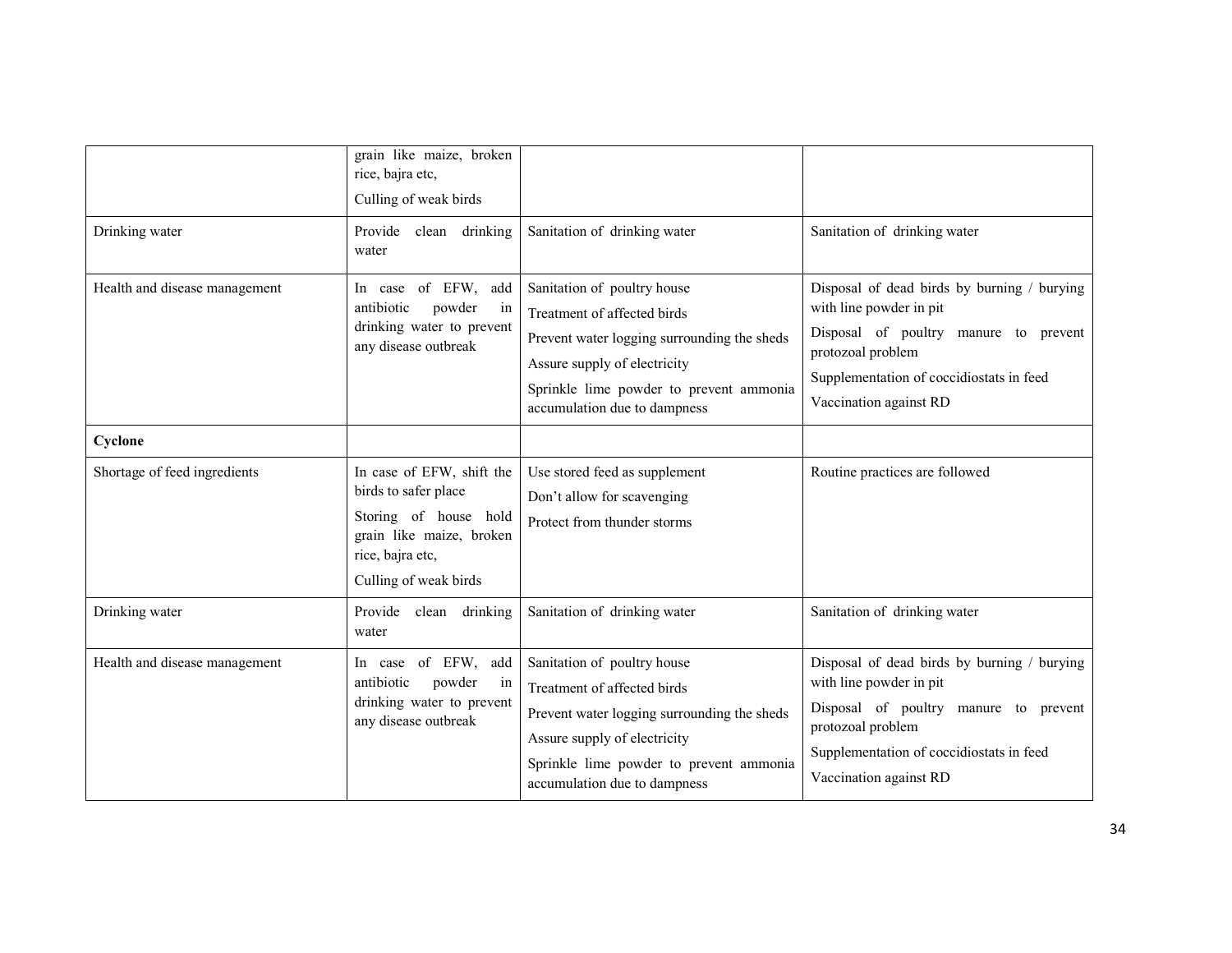|                               | grain like maize, broken<br>rice, bajra etc,<br>Culling of weak birds                                                                               |                                                                                                                                                                                                                      |                                                                                                                                                                                                            |
|-------------------------------|-----------------------------------------------------------------------------------------------------------------------------------------------------|----------------------------------------------------------------------------------------------------------------------------------------------------------------------------------------------------------------------|------------------------------------------------------------------------------------------------------------------------------------------------------------------------------------------------------------|
| Drinking water                | Provide clean drinking<br>water                                                                                                                     | Sanitation of drinking water                                                                                                                                                                                         | Sanitation of drinking water                                                                                                                                                                               |
| Health and disease management | In case of EFW, add<br>antibiotic<br>powder<br>in<br>drinking water to prevent<br>any disease outbreak                                              | Sanitation of poultry house<br>Treatment of affected birds<br>Prevent water logging surrounding the sheds<br>Assure supply of electricity<br>Sprinkle lime powder to prevent ammonia<br>accumulation due to dampness | Disposal of dead birds by burning / burying<br>with line powder in pit<br>Disposal of poultry manure to prevent<br>protozoal problem<br>Supplementation of coccidiostats in feed<br>Vaccination against RD |
| Cyclone                       |                                                                                                                                                     |                                                                                                                                                                                                                      |                                                                                                                                                                                                            |
| Shortage of feed ingredients  | In case of EFW, shift the<br>birds to safer place<br>Storing of house hold<br>grain like maize, broken<br>rice, bajra etc,<br>Culling of weak birds | Use stored feed as supplement<br>Don't allow for scavenging<br>Protect from thunder storms                                                                                                                           | Routine practices are followed                                                                                                                                                                             |
| Drinking water                | Provide<br>clean drinking<br>water                                                                                                                  | Sanitation of drinking water                                                                                                                                                                                         | Sanitation of drinking water                                                                                                                                                                               |
| Health and disease management | In case of EFW, add<br>antibiotic<br>powder<br>in<br>drinking water to prevent<br>any disease outbreak                                              | Sanitation of poultry house<br>Treatment of affected birds<br>Prevent water logging surrounding the sheds<br>Assure supply of electricity<br>Sprinkle lime powder to prevent ammonia<br>accumulation due to dampness | Disposal of dead birds by burning / burying<br>with line powder in pit<br>Disposal of poultry manure to prevent<br>protozoal problem<br>Supplementation of coccidiostats in feed<br>Vaccination against RD |